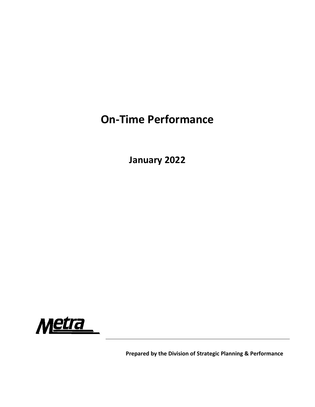# **On‐Time Performance**

**January 2022**



**Prepared by the Division of Strategic Planning & Performance**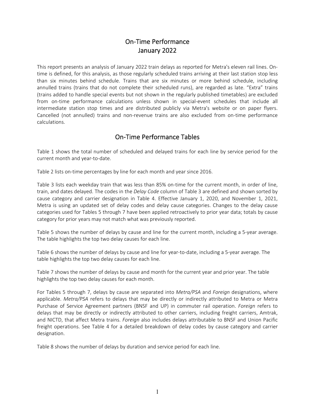## On‐Time Performance January 2022

This report presents an analysis of January 2022 train delays as reported for Metra's eleven rail lines. On‐ time is defined, for this analysis, as those regularly scheduled trains arriving at their last station stop less than six minutes behind schedule. Trains that are six minutes or more behind schedule, including annulled trains (trains that do not complete their scheduled runs), are regarded as late. "Extra" trains (trains added to handle special events but not shown in the regularly published timetables) are excluded from on-time performance calculations unless shown in special-event schedules that include all intermediate station stop times and are distributed publicly via Metra's website or on paper flyers. Cancelled (not annulled) trains and non‐revenue trains are also excluded from on‐time performance calculations.

## On‐Time Performance Tables

Table 1 shows the total number of scheduled and delayed trains for each line by service period for the current month and year-to-date.

Table 2 lists on‐time percentages by line for each month and year since 2016.

Table 3 lists each weekday train that was less than 85% on-time for the current month, in order of line, train, and dates delayed. The codes in the *Delay Code* column of Table 3 are defined and shown sorted by cause category and carrier designation in Table 4. Effective January 1, 2020, and November 1, 2021, Metra is using an updated set of delay codes and delay cause categories. Changes to the delay cause categories used for Tables 5 through 7 have been applied retroactively to prior year data; totals by cause category for prior years may not match what was previously reported.

Table 5 shows the number of delays by cause and line for the current month, including a 5‐year average. The table highlights the top two delay causes for each line.

Table 6 shows the number of delays by cause and line for year-to-date, including a 5-year average. The table highlights the top two delay causes for each line.

Table 7 shows the number of delays by cause and month for the current year and prior year. The table highlights the top two delay causes for each month.

For Tables 5 through 7, delays by cause are separated into *Metra/PSA* and *Foreign* designations, where applicable. *Metra/PSA* refers to delays that may be directly or indirectly attributed to Metra or Metra Purchase of Service Agreement partners (BNSF and UP) in commuter rail operation. *Foreign* refers to delays that may be directly or indirectly attributed to other carriers, including freight carriers, Amtrak, and NICTD, that affect Metra trains. *Foreign* also includes delays attributable to BNSF and Union Pacific freight operations. See Table 4 for a detailed breakdown of delay codes by cause category and carrier designation.

Table 8 shows the number of delays by duration and service period for each line.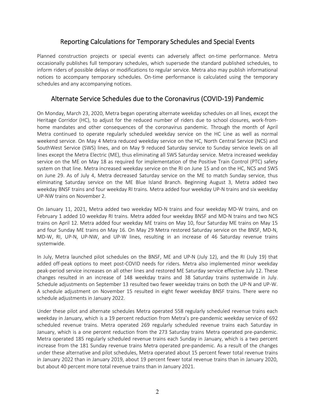## Reporting Calculations for Temporary Schedules and Special Events

Planned construction projects or special events can adversely affect on-time performance. Metra occasionally publishes full temporary schedules, which supersede the standard published schedules, to inform riders of possible delays or modifications to regular service. Metra also may publish informational notices to accompany temporary schedules. On-time performance is calculated using the temporary schedules and any accompanying notices.

### Alternate Service Schedules due to the Coronavirus (COVID‐19) Pandemic

On Monday, March 23, 2020, Metra began operating alternate weekday schedules on all lines, except the Heritage Corridor (HC), to adjust for the reduced number of riders due to school closures, work-fromhome mandates and other consequences of the coronavirus pandemic. Through the month of April Metra continued to operate regularly scheduled weekday service on the HC Line as well as normal weekend service. On May 4 Metra reduced weekday service on the HC, North Central Service (NCS) and SouthWest Service (SWS) lines, and on May 9 reduced Saturday service to Sunday service levels on all lines except the Metra Electric (ME), thus eliminating all SWS Saturday service. Metra increased weekday service on the ME on May 18 as required for implementation of the Positive Train Control (PTC) safety system on that line. Metra increased weekday service on the RI on June 15 and on the HC, NCS and SWS on June 29. As of July 4, Metra decreased Saturday service on the ME to match Sunday service, thus eliminating Saturday service on the ME Blue Island Branch. Beginning August 3, Metra added two weekday BNSF trains and four weekday RI trains. Metra added four weekday UP‐N trains and six weekday UP‐NW trains on November 2.

On January 11, 2021, Metra added two weekday MD-N trains and four weekday MD-W trains, and on February 1 added 10 weekday RI trains. Metra added four weekday BNSF and MD‐N trains and two NCS trains on April 12. Metra added four weekday ME trains on May 10, four Saturday ME trains on May 15 and four Sunday ME trains on May 16. On May 29 Metra restored Saturday service on the BNSF, MD‐N, MD‐W, RI, UP‐N, UP‐NW, and UP‐W lines, resulting in an increase of 46 Saturday revenue trains systemwide.

In July, Metra launched pilot schedules on the BNSF, ME and UP-N (July 12), and the RI (July 19) that added off-peak options to meet post-COVID needs for riders. Metra also implemented minor weekday peak‐period service increases on all other lines and restored ME Saturday service effective July 12. These changes resulted in an increase of 148 weekday trains and 38 Saturday trains systemwide in July. Schedule adjustments on September 13 resulted two fewer weekday trains on both the UP‐N and UP‐W. A schedule adjustment on November 15 resulted in eight fewer weekday BNSF trains. There were no schedule adjustments in January 2022.

Under these pilot and alternate schedules Metra operated 558 regularly scheduled revenue trains each weekday in January, which is a 19 percent reduction from Metra's pre-pandemic weekday service of 692 scheduled revenue trains. Metra operated 269 regularly scheduled revenue trains each Saturday in January, which is a one percent reduction from the 273 Saturday trains Metra operated pre‐pandemic. Metra operated 185 regularly scheduled revenue trains each Sunday in January, which is a two percent increase from the 181 Sunday revenue trains Metra operated pre‐pandemic. As a result of the changes under these alternative and pilot schedules, Metra operated about 15 percent fewer total revenue trains in January 2022 than in January 2019, about 19 percent fewer total revenue trains than in January 2020, but about 40 percent more total revenue trains than in January 2021.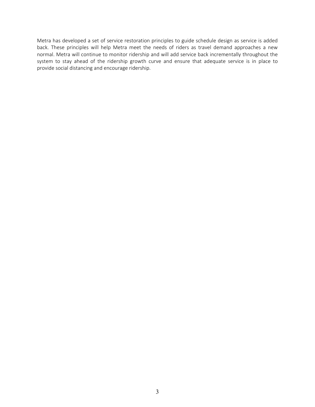Metra has developed a set of service restoration principles to guide schedule design as service is added back. These principles will help Metra meet the needs of riders as travel demand approaches a new normal. Metra will continue to monitor ridership and will add service back incrementally throughout the system to stay ahead of the ridership growth curve and ensure that adequate service is in place to provide social distancing and encourage ridership.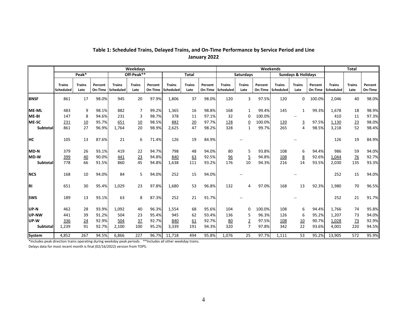|                 |                            |                       |                    |                            | Weekdays              |                    |                            |                       |                    |                            |                       |                    | Weekends                   |                               |                    |                            | <b>Total</b>          |                    |
|-----------------|----------------------------|-----------------------|--------------------|----------------------------|-----------------------|--------------------|----------------------------|-----------------------|--------------------|----------------------------|-----------------------|--------------------|----------------------------|-------------------------------|--------------------|----------------------------|-----------------------|--------------------|
|                 |                            | Peak*                 |                    |                            | Off-Peak**            |                    |                            | <b>Total</b>          |                    |                            | <b>Saturdavs</b>      |                    |                            | <b>Sundays &amp; Holidays</b> |                    |                            |                       |                    |
|                 | <b>Trains</b><br>Scheduled | <b>Trains</b><br>Late | Percent<br>On-Time | <b>Trains</b><br>Scheduled | <b>Trains</b><br>Late | Percent<br>On-Time | <b>Trains</b><br>Scheduled | <b>Trains</b><br>Late | Percent<br>On-Time | <b>Trains</b><br>Scheduled | <b>Trains</b><br>Late | Percent<br>On-Time | <b>Trains</b><br>Scheduled | <b>Trains</b><br>Late         | Percent<br>On-Time | <b>Trains</b><br>Scheduled | <b>Trains</b><br>Late | Percent<br>On-Time |
| <b>BNSF</b>     | 861                        | 17                    | 98.0%              | 945                        | 20                    | 97.9%              | 1,806                      | 37                    | 98.0%              | 120                        | 3                     | 97.5%              | 120                        | 0                             | 100.0%             | 2,046                      | 40                    | 98.0%              |
| <b>ME-ML</b>    | 483                        | 9                     | 98.1%              | 882                        | $\overline{7}$        | 99.2%              | 1,365                      | 16                    | 98.8%              | 168                        | $\mathbf{1}$          | 99.4%              | 145                        | $\mathbf{1}$                  | 99.3%              | 1,678                      | 18                    | 98.9%              |
| ME-BI           | 147                        | 8                     | 94.6%              | 231                        | 3                     | 98.7%              | 378                        | 11                    | 97.1%              | 32                         | 0                     | 100.0%             |                            |                               |                    | 410                        | 11                    | 97.3%              |
| ME-SC           | <u>231</u>                 | 10                    | 95.7%              | 651                        | 10                    | 98.5%              | 882                        | 20                    | 97.7%              | 128                        | $\underline{0}$       | 100.0%             | 120                        | $\overline{3}$                | 97.5%              | 1,130                      | 23                    | 98.0%              |
| <b>Subtotal</b> | 861                        | 27                    | 96.9%              | 1,764                      | 20                    | 98.9%              | 2,625                      | 47                    | 98.2%              | 328                        | $\mathbf{1}$          | 99.7%              | 265                        | 4                             | 98.5%              | 3,218                      | 52                    | 98.4%              |
| <b>HC</b>       | 105                        | 13                    | 87.6%              | 21                         | 6                     | 71.4%              | 126                        | 19                    | 84.9%              |                            |                       |                    |                            |                               |                    | 126                        | 19                    | 84.9%              |
| <b>MD-N</b>     | 379                        | 26                    | 93.1%              | 419                        | 22                    | 94.7%              | 798                        | 48                    | 94.0%              | 80                         | 5                     | 93.8%              | 108                        | 6                             | 94.4%              | 986                        | 59                    | 94.0%              |
| <b>MD-W</b>     | 399                        | 40                    | 90.0%              | 441                        | 23                    | 94.8%              | 840                        | 63                    | 92.5%              | 96                         | 5                     | 94.8%              | 108                        | 8                             | 92.6%              | 1,044                      | 76                    | 92.7%              |
| Subtotal        | 778                        | 66                    | 91.5%              | 860                        | 45                    | 94.8%              | 1,638                      | 111                   | 93.2%              | 176                        | 10                    | 94.3%              | 216                        | 14                            | 93.5%              | 2,030                      | 135                   | 93.3%              |
| <b>NCS</b>      | 168                        | 10                    | 94.0%              | 84                         | 5                     | 94.0%              | 252                        | 15                    | 94.0%              |                            |                       |                    |                            |                               |                    | 252                        | 15                    | 94.0%              |
| <b>RI</b>       | 651                        | 30                    | 95.4%              | 1,029                      | 23                    | 97.8%              | 1,680                      | 53                    | 96.8%              | 132                        | 4                     | 97.0%              | 168                        | 13                            | 92.3%              | 1,980                      | 70                    | 96.5%              |
| <b>ISWS</b>     | 189                        | 13                    | 93.1%              | 63                         | 8                     | 87.3%              | 252                        | 21                    | 91.7%              |                            |                       |                    |                            |                               |                    | 252                        | 21                    | 91.7%              |
| UP-N            | 462                        | 28                    | 93.9%              | 1,092                      | 40                    | 96.3%              | 1,554                      | 68                    | 95.6%              | 104                        | 0                     | 100.0%             | 108                        | 6                             | 94.4%              | 1,766                      | 74                    | 95.8%              |
| <b>IUP-NW</b>   | 441                        | 39                    | 91.2%              | 504                        | 23                    | 95.4%              | 945                        | 62                    | 93.4%              | 136                        | 5                     | 96.3%              | 126                        | 6                             | 95.2%              | 1,207                      | 73                    | 94.0%              |
| <b>UP-W</b>     | 336                        | 24                    | 92.9%              | 504                        | $\frac{37}{2}$        | 92.7%              | 840                        | 61                    | 92.7%              | 80                         | $\overline{2}$        | 97.5%              | 108                        | 10                            | 90.7%              | 1,028                      | 73                    | 92.9%              |
| <b>Subtotal</b> | 1,239                      | 91                    | 92.7%              | 2,100                      | 100                   | 95.2%              | 3,339                      | 191                   | 94.3%              | 320                        | 7                     | 97.8%              | 342                        | 22                            | 93.6%              | 4,001                      | 220                   | 94.5%              |
| <b>System</b>   | 4,852                      | 267                   | 94.5%              | 6,866                      | 227                   | 96.7%              | 11,718                     | 494                   | 95.8%              | 1,076                      | 25                    | 97.7%              | 1,111                      | 53                            | 95.2%              | 13,905                     | 572                   | 95.9%              |

#### **Table 1: Scheduled Trains, Delayed Trains, and On‐Time Performance by Service Period and Lin e January 2022**

\*Includes peak direction trains operating during weekday peak periods. \*\*Includes all other weekday trains. Delays data for most recent month is final (02/16/2022) version from TOPS.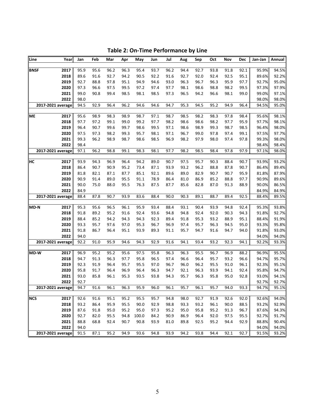| Line<br>Year        | Jan          | Feb          | Mar          | Apr          | May          | Jun          | Jul          | Aug          | Sep          | Oct          | Nov          | Dec          | Jan-Jan        | Annual         |
|---------------------|--------------|--------------|--------------|--------------|--------------|--------------|--------------|--------------|--------------|--------------|--------------|--------------|----------------|----------------|
| 2017<br><b>BNSF</b> | 95.9         | 95.6         | 96.2         | 96.3         | 95.4         | 93.7         | 96.2         | 94.4         | 92.7         | 93.8         | 91.8         | 92.1         | 95.9%          | 94.5%          |
| 2018                | 89.6         | 91.6         | 92.7         | 94.2         | 90.5         | 92.2         | 91.6         | 92.7         | 92.0         | 92.4         | 92.5         | 95.1         | 89.6%          | 92.2%          |
| 2019                | 92.7         | 88.8         | 97.8         | 95.1         | 94.9         | 94.6         | 93.0         | 96.3         | 96.7         | 96.3         | 95.9         | 97.7         | 92.7%          | 95.0%          |
| 2020                | 97.3         | 96.6         | 97.5         | 99.5         | 97.2         | 97.4         | 97.7         | 98.1         | 98.6         | 98.8         | 98.2         | 99.5         | 97.3%          | 97.9%          |
| 2021                | 99.0         | 90.8         | 99.4         | 98.5         | 98.1         | 98.5         | 97.3         | 96.5         | 94.2         | 96.6         | 98.1         | 99.0         | 99.0%          | 97.1%          |
| 2022                | 98.0         |              |              |              |              |              |              |              |              |              |              |              | 98.0%          | 98.0%          |
| 2017-2021 average   | 94.5         | 92.9         | 96.4         | 96.2         | 94.6         | 94.6         | 94.7         | 95.3         | 94.5         | 95.2         | 94.9         | 96.4         | 94.5%          | 95.0%          |
| 2017<br><b>ME</b>   | 95.6         | 98.9         | 98.3         | 98.9         | 98.7         | 97.1         | 98.7         | 98.5         | 98.2         | 98.3         | 97.8         | 98.4         | 95.6%          | 98.1%          |
| 2018                | 97.7         | 97.2         | 99.1         | 99.0         | 99.2         | 97.7         | 98.2         | 98.6         | 98.6         | 98.2         | 97.7         | 95.9         | 97.7%          | 98.1%          |
| 2019                | 96.4         | 90.7         | 99.6         | 99.7         | 98.6         | 99.5         | 97.1         | 98.6         | 98.9         | 99.3         | 98.7         | 98.5         | 96.4%          | 98.0%          |
| 2020                | 97.5         | 97.3         | 98.2         | 99.3         | 95.7         | 98.1         | 97.1         | 96.7         | 99.0         | 97.8         | 97.4         | 99.1         | 97.5%          | 97.7%          |
| 2021                | 99.3         | 96.2         | 98.9         | 98.7         | 98.6         | 98.5         | 96.9         | 98.2         | 97.9         | 98.0         | 97.4         | 97.8         | 99.3%          | 98.0%          |
| 2022                | 98.4         |              |              |              |              |              |              |              |              |              |              |              | 98.4%          | 98.4%          |
| 2017-2021 average   | 97.1         | 96.2         | 98.8         | 99.1         | 98.3         | 98.1         | 97.7         | 98.2         | 98.5         | 98.4         | 97.8         | 97.9         | 97.1%          | 98.0%          |
|                     |              |              |              |              |              |              |              |              |              |              |              |              |                |                |
| 2017<br>HС          | 93.9         | 94.3         | 96.9         | 96.4         | 94.2         | 89.0         | 90.7         | 97.5         | 95.7         | 90.3         | 88.4         | 90.7         | 93.9%          | 93.2%          |
| 2018                | 86.4         | 90.7         | 90.9         | 95.2         | 73.4         | 87.1         | 93.9         | 93.2         | 96.2         | 88.8         | 87.8         | 90.7         | 86.4%          | 89.4%          |
| 2019<br>2020        | 81.8<br>90.9 | 82.1<br>91.4 | 87.1         | 87.7         | 85.1         | 92.1         | 89.6         | 89.0         | 82.9         | 90.7         | 90.7         | 95.9         | 81.8%          | 87.9%<br>89.6% |
| 2021                | 90.0         | 75.0         | 89.0<br>88.0 | 95.5<br>95.5 | 91.1<br>76.3 | 78.9<br>87.5 | 86.4<br>87.7 | 81.0<br>85.6 | 86.9<br>82.8 | 85.2<br>87.0 | 88.8<br>91.3 | 97.7<br>88.9 | 90.9%<br>90.0% | 86.5%          |
| 2022                | 84.9         |              |              |              |              |              |              |              |              |              |              |              | 84.9%          | 84.9%          |
| 2017-2021 average   | 88.4         | 87.8         | 90.7         | 93.9         | 83.6         | 88.4         | 90.0         | 90.3         | 89.1         | 88.7         | 89.4         | 92.5         | 88.4%          | 89.5%          |
|                     |              |              |              |              |              |              |              |              |              |              |              |              |                |                |
| 2017<br>MD-N        | 95.3         | 95.6         | 96.5         | 96.1         | 95.9         | 93.4         | 88.4         | 93.1         | 90.4         | 93.9         | 94.8         | 92.4         | 95.3%          | 93.8%          |
| 2018                | 91.8         | 89.2         | 95.2         | 91.6         | 92.4         | 93.6         | 94.8         | 94.8         | 92.4         | 92.0         | 90.3         | 94.3         | 91.8%          | 92.7%          |
| 2019                | 88.4         | 85.2         | 94.2         | 94.3         | 94.3         | 92.3         | 89.4         | 91.8         | 95.3         | 93.2         | 88.9         | 95.1         | 88.4%          | 91.9%          |
| 2020                | 93.3         | 95.7         | 97.6         | 97.0         | 95.3         | 96.7         | 96.9         | 97.4         | 95.7         | 96.3         | 94.5         | 95.0         | 93.3%          | 95.8%          |
| 2021                | 91.8         | 86.7         | 96.4         | 95.1         | 93.9         | 89.3         | 91.1         | 95.7         | 94.7         | 91.6         | 94.7         | 94.0         | 91.8%          | 93.0%          |
| 2022                | 94.0         |              |              |              |              |              |              |              |              |              |              |              | 94.0%          | 94.0%          |
| 2017-2021 average   | 92.2         | 91.0         | 95.9         | 94.6         | 94.3         | 92.9         | 91.6         | 94.1         | 93.4         | 93.2         | 92.3         | 94.1         | 92.2%          | 93.3%          |
| 2017<br>MD-W        | 96.9         | 95.2         | 95.2         | 95.6         | 97.5         | 95.8         | 96.3         | 96.3         | 95.5         | 96.7         | 96.9         | 88.2         | 96.9%          | 95.5%          |
| 2018                | 94.7         | 91.3         | 96.3         | 97.7         | 95.8         | 96.5         | 97.4         | 96.6         | 96.4         | 95.7         | 93.2         | 96.6         | 94.7%          | 95.7%          |
| 2019                | 92.3         | 91.9         | 96.4         | 95.7         | 95.5         | 97.0         | 96.7         | 96.0         | 96.2         | 95.5         | 91.0         | 96.1         | 92.3%          | 95.1%          |
| 2020                | 95.8         | 91.7         | 96.4         | 96.9         | 96.4         | 96.3         | 94.7         | 92.1         | 96.3         | 93.9         | 94.1         | 92.4         | 95.8%          | 94.7%          |
| 2021                | 93.0         | 85.8         | 96.1         | 95.3         | 93.5         | 93.8         | 94.3         | 95.7         | 96.3         | 95.8         | 95.0         | 92.8         | 93.0%          | 94.1%          |
| 2022                | 92.7         |              |              |              |              |              |              |              |              |              |              |              | 92.7%          | 92.7%          |
| 2017-2021 average   | 94.7         | 91.6         | 96.1         | 96.3         | 95.9         | 96.0         | 96.1         | 95.7         | 96.1         | 95.7         | 94.0         | 93.3         | 94.7%          | 95.1%          |
| <b>NCS</b><br>2017  | 92.6         | 91.6         | 95.1         | 95.2         | 95.5         | 95.7         | 94.8         | 98.0         | 92.7         | 91.9         | 92.6         | 92.0         | 92.6%          | 94.0%          |
| 2018                | 93.2         | 86.4         | 95.9         | 95.5         | 90.0         | 92.9         | 98.8         | 93.3         | 93.2         | 96.1         | 90.0         | 88.5         | 93.2%          | 92.9%          |
| 2019                | 87.6         | 91.8         | 95.0         | 95.2         | 95.0         | 97.3         | 95.2         | 95.0         | 95.8         | 95.2         | 91.3         | 96.7         | 87.6%          | 94.3%          |
| 2020                | 92.7         | 82.0         | 95.5         | 94.8         | 100.0        | 84.2         | 90.9         | 86.9         | 96.4         | 92.0         | 97.5         | 95.5         | 92.7%          | 91.7%          |
| 2021                | 88.8         | 68.8         | 92.4         | 90.7         | 90.8         | 93.9         | 81.0         | 89.8         | 92.5         | 95.2         | 94.4         | 92.9         | 88.8%          | 90.4%          |
| 2022                | 94.0         |              |              |              |              |              |              |              |              |              |              |              | 94.0%          | 94.0%          |
| 2017-2021 average   | 91.5         | 87.1         | 95.2         | 94.9         | 93.6         | 94.8         | 93.9         | 94.2         | 93.8         | 94.4         | 92.1         | 92.7         | 91.5%          | 93.2%          |
|                     |              |              |              |              |              |              |              |              |              |              |              |              |                |                |

**Table 2: On‐Time Performance by Line**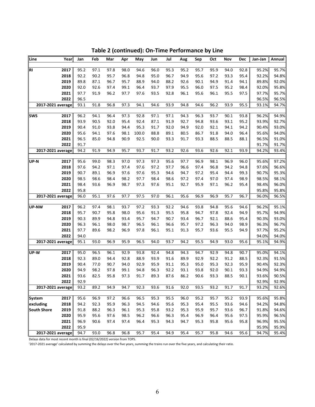| Line               | Year | Jan  | Feb  | Mar  | Apr  | May   | Jun  | Jul  | Aug  | Sep  | Oct  | Nov  | Dec  | Jan-Jan | Annual |
|--------------------|------|------|------|------|------|-------|------|------|------|------|------|------|------|---------|--------|
|                    |      |      |      |      |      |       |      |      |      |      |      |      |      |         |        |
| RI                 | 2017 | 95.2 | 97.1 | 97.8 | 98.0 | 94.6  | 96.0 | 95.3 | 95.2 | 95.7 | 95.9 | 94.0 | 92.8 | 95.2%   | 95.7%  |
|                    | 2018 | 92.2 | 90.2 | 95.7 | 96.8 | 94.8  | 95.0 | 96.7 | 94.9 | 95.6 | 97.2 | 93.3 | 95.4 | 92.2%   | 94.8%  |
|                    | 2019 | 89.8 | 87.1 | 96.7 | 95.7 | 88.9  | 94.0 | 88.2 | 92.6 | 90.1 | 94.9 | 91.4 | 94.1 | 89.8%   | 92.0%  |
|                    | 2020 | 92.0 | 92.6 | 97.4 | 99.1 | 96.4  | 93.7 | 97.9 | 95.5 | 96.0 | 97.5 | 95.2 | 98.4 | 92.0%   | 95.8%  |
|                    | 2021 | 97.7 | 91.9 | 96.2 | 97.7 | 97.6  | 93.5 | 92.8 | 96.1 | 95.6 | 96.1 | 95.5 | 97.5 | 97.7%   | 95.7%  |
|                    | 2022 | 96.5 |      |      |      |       |      |      |      |      |      |      |      | 96.5%   | 96.5%  |
| 2017-2021 average  |      | 93.1 | 91.8 | 96.8 | 97.3 | 94.1  | 94.6 | 93.9 | 94.8 | 94.6 | 96.2 | 93.9 | 95.5 | 93.1%   | 94.7%  |
| <b>SWS</b>         | 2017 | 96.2 | 94.1 | 96.4 | 97.3 | 92.8  | 97.1 | 97.1 | 94.3 | 96.3 | 93.7 | 90.1 | 93.8 | 96.2%   | 94.9%  |
|                    | 2018 | 93.9 | 90.5 | 92.0 | 95.4 | 92.4  | 87.1 | 91.9 | 92.7 | 94.8 | 93.6 | 93.1 | 95.2 | 93.9%   | 92.7%  |
|                    | 2019 | 90.4 | 91.0 | 93.8 | 94.4 | 95.3  | 91.7 | 92.0 | 94.9 | 92.0 | 92.1 | 94.1 | 94.2 | 90.4%   | 93.0%  |
|                    | 2020 | 95.6 | 94.1 | 97.6 | 98.1 | 100.0 | 88.8 | 89.1 | 80.5 | 86.7 | 91.8 | 94.0 | 96.4 | 95.6%   | 94.0%  |
|                    | 2021 | 96.5 | 85.0 | 94.8 | 90.9 | 92.5  | 90.0 | 93.3 | 91.7 | 93.3 | 88.5 | 88.5 | 88.1 | 96.5%   | 91.0%  |
|                    | 2022 | 91.7 |      |      |      |       |      |      |      |      |      |      |      | 91.7%   | 91.7%  |
| 2017-2021 average  |      | 94.2 | 91.9 | 94.9 | 95.7 | 93.7  | 91.7 | 93.2 | 92.6 | 93.6 | 92.6 | 92.1 | 93.9 | 94.2%   | 93.4%  |
|                    |      |      |      |      |      |       |      |      |      |      |      |      |      |         |        |
| UP-N               | 2017 | 95.6 | 99.0 | 98.3 | 97.0 | 97.3  | 97.3 | 95.6 | 97.7 | 96.9 | 98.1 | 96.9 | 96.0 | 95.6%   | 97.2%  |
|                    | 2018 | 97.6 | 94.2 | 97.1 | 97.4 | 97.6  | 97.2 | 97.7 | 96.6 | 97.4 | 96.8 | 94.2 | 94.8 | 97.6%   | 96.6%  |
|                    | 2019 | 90.7 | 89.1 | 96.9 | 97.6 | 97.6  | 95.3 | 94.6 | 94.7 | 97.2 | 95.4 | 94.4 | 99.3 | 90.7%   | 95.3%  |
|                    | 2020 | 98.5 | 98.6 | 98.4 | 98.2 | 97.7  | 98.4 | 98.6 | 97.2 | 97.4 | 97.0 | 97.4 | 98.9 | 98.5%   | 98.1%  |
|                    | 2021 | 98.4 | 93.6 | 96.9 | 98.7 | 97.3  | 97.6 | 95.1 | 92.7 | 95.9 | 97.1 | 96.2 | 95.4 | 98.4%   | 96.0%  |
|                    | 2022 | 95.8 |      |      |      |       |      |      |      |      |      |      |      | 95.8%   | 95.8%  |
| 2017-2021 average  |      | 96.0 | 95.1 | 97.6 | 97.7 | 97.5  | 97.0 | 96.1 | 95.6 | 96.9 | 96.9 | 95.7 | 96.7 | 96.0%   | 96.5%  |
|                    |      |      |      |      |      |       |      |      |      |      |      |      |      |         |        |
| <b>UP-NW</b>       | 2017 | 96.2 | 97.4 | 98.1 | 93.7 | 97.2  | 93.3 | 92.2 | 94.6 | 93.8 | 94.8 | 95.6 | 94.6 | 96.2%   | 95.1%  |
|                    | 2018 | 95.7 | 90.7 | 95.8 | 98.0 | 95.6  | 91.3 | 95.5 | 95.8 | 94.7 | 97.8 | 92.4 | 94.9 | 95.7%   | 94.9%  |
|                    | 2019 | 90.3 | 89.9 | 94.8 | 93.4 | 95.7  | 94.7 | 90.7 | 93.4 | 96.7 | 92.1 | 88.6 | 95.4 | 90.3%   | 93.0%  |
|                    | 2020 | 96.3 | 96.1 | 98.0 | 98.7 | 96.5  | 96.1 | 96.6 | 95.7 | 97.2 | 96.3 | 94.0 | 98.9 | 96.3%   | 96.7%  |
|                    | 2021 | 97.7 | 89.6 | 98.2 | 96.9 | 97.8  | 96.1 | 95.1 | 91.3 | 95.7 | 93.6 | 95.5 | 94.9 | 97.7%   | 95.2%  |
|                    | 2022 | 94.0 |      |      |      |       |      |      |      |      |      |      |      | 94.0%   | 94.0%  |
| 2017-2021 average  |      | 95.1 | 93.0 | 96.9 | 95.9 | 96.5  | 94.0 | 93.7 | 94.2 | 95.5 | 94.9 | 93.0 | 95.6 | 95.1%   | 94.9%  |
| UP-W               | 2017 | 95.0 | 96.5 | 96.1 | 92.9 | 93.8  | 92.4 | 94.8 | 94.3 | 94.7 | 92.9 | 94.8 | 90.7 | 95.0%   | 94.1%  |
|                    | 2018 | 92.3 | 89.0 | 94.4 | 92.8 | 88.9  | 93.9 | 91.6 | 89.9 | 92.9 | 92.2 | 91.2 | 88.5 | 92.3%   | 91.5%  |
|                    | 2019 | 90.4 | 77.0 | 90.7 | 94.0 | 92.9  | 95.9 | 91.1 | 95.3 | 95.0 | 95.3 | 92.3 | 95.9 | 90.4%   | 92.3%  |
|                    | 2020 | 94.9 | 98.2 | 97.8 | 99.1 | 94.8  | 96.3 | 92.2 | 93.1 | 93.8 | 92.0 | 90.1 | 93.3 | 94.9%   | 94.9%  |
|                    | 2021 | 93.6 | 82.5 | 95.8 | 97.3 | 91.7  | 89.3 | 87.6 | 86.2 | 90.6 | 93.3 | 88.5 | 90.1 | 93.6%   | 90.5%  |
|                    | 2022 | 92.9 |      |      |      |       |      |      |      |      |      |      |      | 92.9%   | 92.9%  |
| 2017-2021 average  |      | 93.2 | 89.2 | 94.9 | 94.7 | 92.3  | 93.6 | 91.6 | 92.0 | 93.5 | 93.2 | 91.7 | 91.7 | 93.2%   | 92.6%  |
|                    |      |      |      |      |      |       |      |      |      |      |      |      |      |         |        |
| <b>System</b>      | 2017 | 95.6 | 96.9 | 97.2 | 96.6 | 96.5  | 95.3 | 95.5 | 96.0 | 95.2 | 95.7 | 95.2 | 93.9 | 95.6%   | 95.8%  |
| excluding          | 2018 | 94.2 | 92.3 | 95.9 | 96.3 | 94.5  | 94.6 | 95.6 | 95.3 | 95.4 | 95.5 | 93.6 | 94.6 | 94.2%   | 94.8%  |
| <b>South Shore</b> | 2019 | 91.8 | 88.2 | 96.3 | 96.1 | 95.3  | 95.8 | 93.2 | 95.3 | 95.9 | 95.7 | 93.6 | 96.7 | 91.8%   | 94.6%  |
|                    | 2020 | 95.9 | 95.6 | 97.6 | 98.5 | 96.2  | 96.6 | 96.3 | 95.4 | 96.9 | 96.4 | 95.6 | 97.5 | 95.9%   | 96.5%  |
|                    | 2021 | 96.9 | 90.6 | 97.4 | 97.4 | 96.4  | 95.3 | 94.3 | 94.7 | 95.3 | 95.8 | 95.6 | 95.8 | 96.9%   | 95.5%  |
|                    | 2022 | 95.9 |      |      |      |       |      |      |      |      |      |      |      | 95.9%   | 95.9%  |
| 2017-2021 average  |      | 94.7 | 93.0 | 96.8 | 96.8 | 95.7  | 95.4 | 94.9 | 95.4 | 95.7 | 95.8 | 94.6 | 95.6 | 94.7%   | 95.4%  |

**Table 2 (continued): On‐Time Performance by Line**

Delays data for most recent month is final (02/16/2022) version from TOPS.

'2017-2021 average' calculated by summing the delays over the five years, summing the trains run over the five years, and calculating their ratio.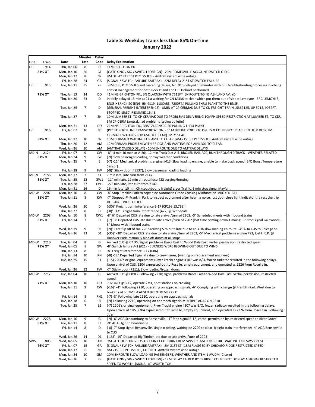#### **Table 3: Weekday Trains less than 85% On‐Time January 2022**

|      |                |                            | Minutes              | <b>Delay</b>    |                                                                                                                                                                                                                               |
|------|----------------|----------------------------|----------------------|-----------------|-------------------------------------------------------------------------------------------------------------------------------------------------------------------------------------------------------------------------------|
| Line | Train          | Date                       | Late                 | Code            | <b>Delay Explanation</b>                                                                                                                                                                                                      |
| HC   | 914            | Thu, Jan 06                | 8                    | D               | <b>11M BRIGHTON PK</b>                                                                                                                                                                                                        |
|      | 81% OT         | Mon, Jan 10                | 26                   | GF              | (GATE XING / SIG / SWITCH FOREIGN) - 20M ROMEOVILLE ACCOUNT SWITCH O.O C                                                                                                                                                      |
|      |                | Mon, Jan 17                | 8                    | ZN              | 9M DELAY 21ST ST PTC ISSUES. - Amtrak system wide outage                                                                                                                                                                      |
|      |                | Fri, Jan 28                | 24                   | GA              | (SIGNAL / SWITCH FAILURE AMTRAK) - 22M DELAY 21ST ST SWITCH FAILURE                                                                                                                                                           |
| HC   | 915            | Tue, Jan 11                | 35                   | ZP              | 39M CUS, PTC ISSUES and cascading delays; No. 915 delayed 15 minutes with CCF troubleshooting processes involving                                                                                                             |
|      | 71% OT         | Thu, Jan 13                | 34                   | DD              | consist management for both Rock Island and UP. Debrief performed.<br>41M NS-BRIGHTON PK., BN QLACNSA WITH 7615FT. EN ROUTE TO NS-ASHLAND AV. YD.                                                                             |
|      |                | Thu, Jan 20                | 23                   | D               | initially delayed 15 min at 21st waiting for CN-M336 to clear which put them out of slot at Lemoyne - BRC-LEMOYNE,                                                                                                            |
|      |                |                            |                      |                 | BNSF HBRKCK-20 (ENG. BN 4119, 113CARS, 7200FT.) PULLING THRU PLANT TO THE BNSF.                                                                                                                                               |
|      |                | Tue, Jan 25                | 7                    | D               | (GENERAL FREIGHT INTERFERENCE) - 8MIN AT CP CERMAK DUE TO CN FREIGHT TRAIN L5369125, UP 5013, 9052FT.                                                                                                                         |
|      |                |                            |                      |                 | STOPPED 15:37. RESUMED 15:45.                                                                                                                                                                                                 |
|      |                | Thu, Jan 27                | $\overline{7}$       | ZN              | 10M LUMBER ST. TO CP-CERMAK DUE TO PROBLEMS DELIVERING 10MPH SPEED RESTRICTION AT LUMBER ST. TO CDU.                                                                                                                          |
|      |                |                            |                      |                 | 5M CP-CERM (amtrak had problems issuing bulletin)                                                                                                                                                                             |
|      |                | Mon, Jan 31                | 13                   | DD              | 21M NS-BRIGHTON PK., BNSF ZLACNYC9-30 PULLING THRU PLANT.                                                                                                                                                                     |
| HC   | 916            | Fri, Jan 07                | 16                   | ZD              | (PTC FOREIGN LINE TRANSPORTATION) - 11M BRIDGE PORT PTC ISSUES & COULD NOT REACH CN HELP DESK, 3M                                                                                                                             |
|      | 81% OT         | Mon, Jan 17                | 10                   | ΖN              | CERMACK WAITING FOR AMK TO CLEAR   3M 21ST AC<br>10M CERMACK WAITING FOR AMK TO CLEAR.   4M 21ST ST PTC ISSUES. Amtrak system wide outage                                                                                     |
|      |                | Thu, Jan 20                | 12                   | AM              | 12M CERMAK PROBLEM WITH BRIDGE AND WAITING FOR AMK 301 TO CLEAR.                                                                                                                                                              |
|      |                | Wed, Jan 26                | 10                   | AM              | (AMTRAK CAUSED DELAY) - 10M ENROUTE DUE TO AMTRAK DELAYS                                                                                                                                                                      |
| MD-N | 2124           | Fri, Jan 07                | 9                    | <b>CW</b>       | -8" -3 min 10 mph at A-20; -12 min Track 0 at A-5. BROKEN RAIL A20, RUN THROUGH 0 TRACK - WEATHER RELATED                                                                                                                     |
|      | 81% OT         | Mon, Jan 24                | 9                    | IW              | (-9) Slow passenger loading, snowy weather conditions                                                                                                                                                                         |
|      |                | Tue, Jan 25                | $\overline{7}$       | Ε               | (-7) -11" Mechanical problems engine #413. Slow loading engine, unable to make track speed (B/O Boost Temperature                                                                                                             |
|      |                |                            |                      |                 | Sensor)                                                                                                                                                                                                                       |
|      |                | Fri, Jan 28                | 9                    | FW              | (-8)" Sticky door (#8537); Slow passenger loading loading                                                                                                                                                                     |
| MD-N | 2156<br>81% OT | Mon, Jan 17<br>Tue, Jan 25 | $\overline{7}$<br>12 | K1<br>GW1       | 7 min late, late turn from 2147.<br>-11" min late, 12 min enroute loco 422 surging/hunting                                                                                                                                    |
|      |                | Fri, Jan 28                | 27                   | CW1             | -27" min late, late turn from 2147.                                                                                                                                                                                           |
|      |                | Mon, Jan 31                | 16                   | D               | 16 min late, 10 min CN (southbound freight) cross Traffic, 6 min stop signal Mayfair.                                                                                                                                         |
| MD-W | 2202           | Mon, Jan 10                | 8                    | <b>CW</b>       | -8" Stop Franklin Park to copy nine Automatic Grade Crossing Malfunction -BROKEN RAIL                                                                                                                                         |
|      | 81% OT         | Tue, Jan 11                | 8                    | КW              | -7" Stopped @ Franklin Park to inspect equipment after hearing noise, lost door close light indicator the rest the trip                                                                                                       |
|      |                |                            |                      |                 | HIT LARGE PIECE OF ICE                                                                                                                                                                                                        |
|      |                | Wed, Jan 26                | 30                   | D               | (-30)" Freight train interference B-17 (CP198 13,799')                                                                                                                                                                        |
|      |                | Thu, Jan 27                | 8                    | D               | (-8)" -13" Freight train interference (472) @ Wooddale                                                                                                                                                                        |
| MD-W | 2203<br>81% OT | Mon, Jan 10                | 8<br>$\overline{7}$  | CW1<br>D        | -8" 6" Departed CUS late due to late arrival/turn of 2203; -3" Scheduled meets with inbound trains<br>(-7) -3" Departed CUS late due to late arrival/turn of 2202 (lost time coming down 1 main); -3" Stop signal Galewood; - |
|      |                | Fri, Jan 14                |                      |                 | 3" Meets with inbound trains                                                                                                                                                                                                  |
|      |                | Wed, Jan 19                | 9                    | U1              | (-9)" Late flip off of No. 2202 arriving 5 minute late due to an ADA slow loading en route. -4" ADA CUS to Chicago St.                                                                                                        |
|      |                | Wed, Jan 26                | 33                   | D1              | (-35)" -30" Departed CUS late due to late arrival/turn of 2202; -5" Mechanical problems engine #92, lost H.E.P. @                                                                                                             |
|      |                |                            |                      |                 | Hanover Park, manually bled off doors at all stops                                                                                                                                                                            |
| MD-W | 2210           | Tue, Jan 04                | 8                    | G               | Arrived CUS @ 07:35. Signal problems Itasca East to Wood Dale East, verbal permission, restricted speed                                                                                                                       |
|      | 71% OT         | Wed, Jan 05                | 8                    | GW              | -8" Switch failure A-2 (#21) - BURNERS WERE BLOWING OUT DUE TO WIND                                                                                                                                                           |
|      |                | Thu, Jan 13                | 8                    | D               | -8" Freight interference B-17 (686)                                                                                                                                                                                           |
|      |                | Fri, Jan 14<br>Tue, Jan 25 | 10<br>15             | <b>RN</b><br>E1 | (-8) -12" Departed Elgin late due to crew issues, (waiting on replacement engineer)<br>(-15) 2206's original equipment (River Track) engine #107 was B/O, frozen radiator resulted in the following delays.                   |
|      |                |                            |                      |                 | Upon arrival of CUS, 2204 expressed out to Roselle, empty equipment, and operated as 2226 from Roselle in.                                                                                                                    |
|      |                | Wed, Jan 26                | 12                   | FW              | -7" Sticky door (7311); Slow loading/frozen doors                                                                                                                                                                             |
| MD-W | 2212           | Tue, Jan 04                | 10                   | G               | Arrived CUS @ 08:03. Following 2210; signal problems Itasca East to Wood Dale East, verbal permission, restricted                                                                                                             |
|      |                |                            |                      |                 | speed                                                                                                                                                                                                                         |
|      | 71% OT         | Mon, Jan 10                | 10                   | DD              | -16" X/O @ B-12, operate 2MT, spot stations on crossing                                                                                                                                                                       |
|      |                | Tue, Jan 11                | 9                    | CW              | (-16)" -4" Following 2210, operating on approach signals; -6" Complying with change @ Franklin Park West due to                                                                                                               |
|      |                |                            |                      |                 | broken rail on 2MT -CAUSED BY EXTREME COLD                                                                                                                                                                                    |
|      |                | Fri, Jan 14                | 8                    | RN1             | (-7) -8" Following late 2210, operating on approach signals                                                                                                                                                                   |
|      |                | Tue, Jan 18<br>Tue, Jan 25 | 6<br>$\overline{7}$  | U1<br>E1        | (-9) Following 2210, operating on approach signals MULTIPLE ADAS ON 2210<br>(-7) 2206's original equipment (River Track) engine #107 was B/O, frozen radiator resulted in the following delays.                               |
|      |                |                            |                      |                 | Upon arrival of CUS, 2204 expressed out to Roselle, empty equipment, and operated as 2226 from Roselle in. Following                                                                                                          |
|      |                |                            |                      |                 | 2210                                                                                                                                                                                                                          |
| MD-W | 2228           | Mon, Jan 10                | 9                    | G               | (-9) -6" ADA Schaumburg to Bensenville; -4" Stop signal B-12, verbal permission by, restricted speed to River Grove                                                                                                           |
|      | 81% OT         | Tue, Jan 11                | 8                    | U               | -9" ADA Elgin to Bensenville                                                                                                                                                                                                  |
|      |                | Fri, Jan 14                | 8                    | D               | (-8) -7" Stop signal Bensenville, single tracking, waiting on 2209 to clear, freight train interference; -4" ADA Bensenville                                                                                                  |
|      |                |                            |                      |                 | to CUS                                                                                                                                                                                                                        |
|      |                | Wed, Jan 26                | 14                   | D1              | (-13)" -15" Departed Big Timber late due to late arrival/turn of 2203                                                                                                                                                         |
| SWS  | 803            | Wed, Jan 05                | 10                   | DR1             | 9M LATE DEPRTING CUS ACCOUNT LATE TURN FROM SWS802   6M FOREST HILL WAITING FOR SWS808EST                                                                                                                                     |
|      | 76% OT         | Fri, Jan 07<br>Mon, Jan 17 | 15<br>6              | GA<br>ZN        | (SIGNAL / SWITCH FAILURE AMTRAK) - 8M 21ST ST   15M FLAGGED BY CHICAGO RIDGE RESTRICTED SPEED<br>8M 21ST ST PTC ISSUES, CUT OUT. Amtrak system wide outage                                                                    |
|      |                | Mon, Jan 24                | 10                   | GM              | 10M ENROUTE SLOW LOADING PASSENGERS, WEATHER AND ITEM 1 AWDM (Cicero)                                                                                                                                                         |
|      |                | Wed, Jan 26                | $\overline{7}$       | G               | (GATE XING / SIG / SWITCH FOREIGN) - 12M DELAY TALKED BY CP RIDGE COULD NOT DISPLAY A SIGNAL RESTRICTED                                                                                                                       |
|      |                |                            |                      |                 | SPEED TO WORTH. SIGNAL AT WORTH TOP                                                                                                                                                                                           |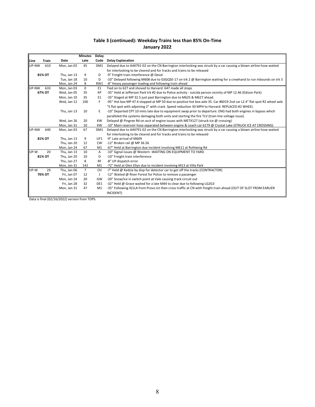#### **Table 3 (continued): Weekday Trains less than 85% On‐Time January 2022**

|       |        |             | <b>Minutes</b> | <b>Delay</b>    |                                                                                                                        |
|-------|--------|-------------|----------------|-----------------|------------------------------------------------------------------------------------------------------------------------|
| Line  | Train  | Date        | Late           | Code            | <b>Delay Explanation</b>                                                                                               |
| UP-NW | 610    | Mon, Jan 03 | 45             | DM <sub>1</sub> | Delayed due to A44791-02 on the CN Barrington interlocking was struck by a car causing a blown airline hose waited     |
|       |        |             |                |                 | for interlocking to be cleared and for tracks and trains to be released                                                |
|       | 81% OT | Thu, Jan 13 | 9              | D               | -9" Freight train interference @ Deval                                                                                 |
|       |        | Tue. Jan 18 | 10             | D               | -10" Delaved following M608 due to GSGQSE-17 on trk 2 @ Barrington waiting for a crewhand to run inbounds on trk 3     |
|       |        | Mon, Jan 24 | 8              | RW1             | -8" Heavy passenger loading and following train ahead                                                                  |
| UP-NW | 633    | Mon, Jan 03 | 0              | E1              | Tied on to 627 and shoved to Harvard. 647 made all stops                                                               |
|       | 67% OT | Wed, Jan 05 | 35             | KP              | -35" Held at Jefferson Park trk #2 due to Police activity - suicida person vicinity of MP 12.46 (Edison Park)          |
|       |        | Mon, Jan 10 | 35             | E1              | -35" Staged at MP 32.5 just past Barrington due to M625 & M627 ahead.                                                  |
|       |        | Wed, Jan 12 | 100            | F               | -95" Hot box MP 47.4 stopped at MP 50 due to positive hot box axle 35. Car #6019 2nd car L2 4" flat spot R2 wheel axle |
|       |        |             |                |                 | "5 flat spot with adjoining 2" with crack. Speed reduction 30 MPH to Harvard. REPLACED #2 WHEEL                        |
|       |        | Thu, Jan 13 | 10             | E               | -10" Departed CPT 10 mins late due to equipment swap prior to departure. ENG had both engines in bypass which          |
|       |        |             |                |                 | paralleled the systems damaging both units and starting the fire TLV (train line voltage issue).                       |
|       |        | Wed, Jan 26 | 20             | <b>KW</b>       | Delayed @ Pingree Rd on acct of engine issues with METX127 (struck ice @ crossing)                                     |
|       |        | Mon, Jan 31 | 10             | <b>KW</b>       | -10" Main reservoir hose separated between engine & coach car 6179 @ Crystal Lake (STRUCK ICE AT CROSSING)             |
| UP-NW | 640    | Mon, Jan 03 | 67             | DM1             | Delayed due to A44791-02 on the CN Barrington interlocking was struck by a car causing a blown airline hose waited     |
|       |        |             |                |                 | for interlocking to be cleared and for tracks and trains to be released                                                |
|       | 81% OT | Thu, Jan 13 | 9              | UF1             | -9" Late arrival of M609                                                                                               |
|       |        | Thu, Jan 20 | 12             | <b>CW</b>       | -12" Broken rail @ MP 36.56                                                                                            |
|       |        | Mon, Jan 24 | 67             | M1              | -67" Held at Barrington due incident involving M611 at Rohlwing Rd                                                     |
| UP-W  | 20     | Thu, Jan 13 | 10             | A               | -10" Signal issues @ Western -WAITING ON EQUIPMENT TO YARD                                                             |
|       | 81% OT | Thu, Jan 20 | 10             | D               | -10" Freight train interference                                                                                        |
|       |        | Thu, Jan 27 | 8              | <b>RF</b>       | -8" UP dispatch error                                                                                                  |
|       |        | Mon, Jan 31 | 142            | M1              | -72" Held at Glen Ellyn due to incident involving M13 at Villa Park                                                    |
| UP-W  | 29     | Thu, Jan 06 | $\overline{7}$ | <b>CH</b>       | -7" Held @ Kedzie by disp for detector car to get off the tracks (CONTRACTOR)                                          |
|       | 76% OT | Fri, Jan 07 | 12             | J               | -12" Waited @ River Forest for Police to remove a passenger                                                            |
|       |        | Mon, Jan 24 | 20             | GW              | -20" Snow/ice in switch point at Vale causing track circuit out                                                        |
|       |        | Fri, Jan 28 | 32             | DE1             | -32" Held @ Grace waited for a late M44 to clear due to following LG2G3                                                |
|       |        | Mon, Jan 31 | 47             | M1              | -35" Following IG1LA from Provo Jct then cross traffic at CN with freight train ahead (OUT OF SLOT FROM EARLIER        |
|       |        |             |                |                 | INCIDENT)                                                                                                              |

Data is final (02/16/2022) version from TOPS.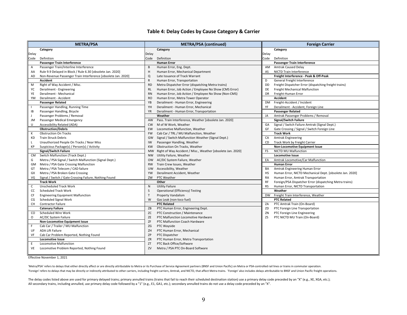#### **Table 4: Delay Codes by Cause Category & Carrier**

|              | <b>METRA/PSA</b>                                              |              | <b>METRA/PSA (continued)</b>                                |           | <b>Foreign Carrier</b>                                   |
|--------------|---------------------------------------------------------------|--------------|-------------------------------------------------------------|-----------|----------------------------------------------------------|
|              | Category                                                      |              | Category                                                    |           | Category                                                 |
| Delay        |                                                               | Delay        |                                                             | Delay     |                                                          |
| Code         | Definition                                                    | Code         | Definition                                                  | Code      | Definition                                               |
|              | Passenger Train Interference                                  |              | <b>Human Error</b>                                          |           | Passenger Train Interference                             |
| $\mathsf{A}$ | Passenger Train/Interline Interference                        | B            | Human Error, Eng. Dept.                                     | AM        | <b>Amtrak Caused Delay</b>                               |
| AA           | Rule 9.9 Delayed in Block / Rule 6.30 [obsolete Jan. 2020]    | н            | Human Error, Mechanical Department                          | AS        | NICTD Train Interference                                 |
| AD           | Non-Revenue Passenger Train Interference [obsolete Jan. 2020] | $\Omega$     | Late Issuance of Track Warrant                              |           | Freight Interference - Peak & Off-Peak                   |
|              | Accident                                                      | $\mathsf{R}$ | Human Error, Transportation                                 | D         | General Freight Interference                             |
| M            | Right of Way Accident / Misc.                                 | <b>RD</b>    | Metra Dispatcher Error (dispatching Metra trains)           | DD        | Freight Dispatcher Error (dispatching freight trains)    |
| YC           | Derailment - Engineering                                      | RL           | Human Error, Job Action / Employee No Show (CMS Error)      | DE        | Freight Mechanical Malfunction                           |
| YE           | Derailment - Mechanical                                       | <b>RN</b>    | Human Error, Job Action / Employee No Show (Non-CMS)        | <b>DR</b> | Freight-Human Error                                      |
| YM           | Derailment - Accident                                         | <b>RO</b>    | Human Error, Metra Tower Operator                           |           | Accident                                                 |
|              | <b>Passenger Related</b>                                      | YB           | Derailment - Human Error, Engineering                       | <b>DM</b> | Freight-Accident / Incident                              |
| $\mathbf{L}$ | Passenger Handling, Running Time                              | YH           | Derailment - Human Error, Mechanical                        | YF        | Derailment - Accident, Foreign Line                      |
| IB           | Passenger Handling, Bicycle                                   | YR           | Derailment - Human Error, Transportation                    |           | <b>Passenger Related</b>                                 |
| J            | Passenger Problems / Removal                                  |              | Weather                                                     | JA        | Amtrak Passenger Problems / Removal                      |
| JM           | Passenger Medical Emergency                                   | AW           | Pass. Train Interference, Weather [obsolete Jan. 2020]      |           | <b>Signal/Switch Failure</b>                             |
| U            | Accessibility Related (ADA)                                   | <b>CW</b>    | M of W Work, Weather                                        |           | GA Signal / Switch Failure Amtrak (Signal Dept.)         |
|              | <b>Obstruction/Debris</b>                                     | <b>EW</b>    | Locomotive Malfunction, Weather                             | GF        | Gate Crossing / Signal / Switch Foreign Line             |
| К            | <b>Obstruction On Tracks</b>                                  | <b>FW</b>    | Cab Car / TRL / MU Malfunction, Weather                     |           | <b>Track Work</b>                                        |
| KD           | <b>Train Struck Debris</b>                                    | GW           | Signal / Switch Malfunction Weather (Signal Dept.)          | CA        | <b>Amtrak Engineering</b>                                |
| $\mathsf{L}$ | Unauthorized People On Tracks / Near Miss                     | IW           | Passenger Handling, Weather                                 | CD        | Track Work by Freight Carrier                            |
| КP           | Suspicious Package(s) / Person(s) / Activity                  | <b>KW</b>    | Obstruction On Tracks, Weather                              |           | <b>Non-Locomotive Equipment Issue</b>                    |
|              | <b>Signal/Switch Failure</b>                                  | MW           | Right of Way Accident / Misc., Weather [obsolete Jan. 2020] | FS        | NICTD MU Malfunction                                     |
| CM           | Switch Malfunction (Track Dept.)                              | <b>NW</b>    | Utility Failure, Weather                                    |           | <b>Locomotive Issue</b>                                  |
| G            | Metra / PSA Signal / Switch Malfunction (Signal Dept.)        | <b>OW</b>    | AC/DC System Failure, Weather                               | EA        | Amtrak Locomotive/Car Malfunction                        |
| GM           | Metra / PSA Gate Crossing Malfunction                         | <b>RW</b>    | Train Crew Issues, Weather                                  |           | <b>Human Error</b>                                       |
| GT           | Metra / PSA Telecom / CAD failure                             | <b>UW</b>    | Accessibility, Weather                                      | BA        | Amtrak Engineering Human Error                           |
| GX           | Metra / PSA Broken Gate Crossing                              | <b>YW</b>    | Derailment Accident, Weather                                | HS        | Human Error, NICTD Mechanical Dept. [obsolete Jan. 2020] |
| VG           | Signal / Switch / Gate Crossing Failure, Nothing Found        | ZW           | PTC Weather                                                 | RA        | Human Error, Amtrak Transportation                       |
|              | <b>Track Work</b>                                             |              | Other                                                       | RF        | Foreign/PSA Dispatcher Error (dispatching Metra trains)  |
| $\mathsf{C}$ | <b>Unscheduled Track Work</b>                                 | N            | <b>Utility Failure</b>                                      | <b>RS</b> | Human Error, NICTD Transportation                        |
| CC           | <b>Scheduled Track Work</b>                                   | S            | <b>Operational (Efficiency) Testing</b>                     |           | Weather                                                  |
| CF           | <b>Engineering Equipment Malfunction</b>                      | $\mathsf{T}$ | <b>Property Vandalism</b>                                   | DW        | Freight Train Interference, Weather                      |
| CG           | Scheduled Signal Work                                         | W            | Gas Leak (non-loco fuel)                                    |           | <b>PTC Related</b>                                       |
| <b>CH</b>    | <b>Contractor Failure</b>                                     |              | <b>PTC Related</b>                                          | ZA        | PTC Amtrak Train (On-Board)                              |
|              | <b>Catenary Failure</b>                                       | ZB           | PTC Human Error, Engineering Dept.                          | ZD        | PTC Foreign Line Transportation                          |
| CO           | Scheduled Wire Work                                           | ZC           | PTC Construction / Maintenance                              | ZN        | PTC Foreign Line Engineering                             |
| $\circ$      | AC/DC System Failure                                          | ZE           | PTC Malfunction Locomotive Hardware                         | ZS        | PTC NICTD MU Train (On-Board)                            |
|              | <b>Non-Locomotive Equipment Issue</b>                         | ZF           | PTC Malfunction Coach Hardware                              |           |                                                          |
| F            | Cab Car / Trailer / MU Malfunction                            | ZG           | PTC Wayside                                                 |           |                                                          |
| UF           | <b>ADA Lift Failure</b>                                       | ZH           | PTC Human Error, Mechanical                                 |           |                                                          |
| VF           | Cab Car Problem Reported, Nothing Found                       | ZP           | PTC Dispatcher                                              |           |                                                          |
|              | <b>Locomotive Issue</b>                                       | ZR           | PTC Human Error, Metra Transportation                       |           |                                                          |
| E            | Locomotive Malfunction                                        | ZT           | PTC Back Office/Software                                    |           |                                                          |
|              | VE Locomotive Problem Reported, Nothing Found                 | ZV           | Metra / PSA PTC On-Board Software                           |           |                                                          |
|              |                                                               |              |                                                             |           |                                                          |

Effective November 1, 2021

'Metra/PSA' refers to delays that either directly affect or are directly attributable to Metra or its Purchase of Service Agreement partners (BNSF and Union Pacific) on Metra or PSA-controlled rail lines or trains in commu 'Foreign' refers to delays that may be directly or indirectly attributed to other carriers, including freight carriers, Amtrak, and NICTD, that affect Metra trains. 'Foreign' also includes delays attributable to BNSF and U

The delay codes listed above are used for primary delayed trains; primary annulled trains (trains that fail to reach their scheduled destination station) use a primary delay code preceded by an "X" (e.g., XE, XGA, etc.); All secondary trains, including annulled, use primary delay code followed by a "1" (e.g., E1, GA1, etc.); secondary annulled trains do not use a delay code preceded by an "X".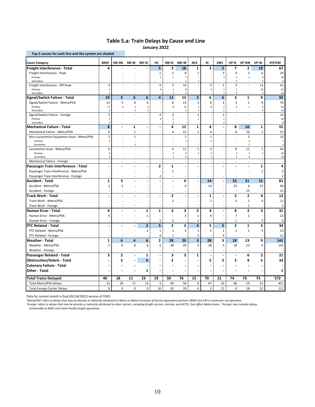#### **Table 5.a: Train Delays by Cause and Line January 2022**

| Top 2 causes for each line and the system are shaded |                                           |                         |              |                |                |                           |                               |                          |                  |                           |                                |                          |                               |                |
|------------------------------------------------------|-------------------------------------------|-------------------------|--------------|----------------|----------------|---------------------------|-------------------------------|--------------------------|------------------|---------------------------|--------------------------------|--------------------------|-------------------------------|----------------|
| <b>Cause Category</b>                                | <b>BNSF</b>                               | <b>ME-ML</b>            | ME-BI        | <b>ME-SC</b>   | HC             | MD-N                      | MD-W                          | <b>NCS</b>               | RI               | <b>SWS</b>                | UP-N                           | UP-NW                    | UP-W                          | <b>SYSTEM</b>  |
| Freight Interference - Total                         | 4                                         |                         |              |                | 5              | 3                         | 18                            | $\mathbf{1}$             | 3                | 5                         | $\overline{ }$                 | $\mathbf{2}$             | 19                            | 67             |
| Freight Interference - Peak                          |                                           |                         |              |                | $\mathbf 1$    | $1\,$                     | 8                             | $\mathbf{1}$             |                  | 3                         | 4                              | $\sqrt{2}$               | 6                             | 26             |
| Primary                                              |                                           |                         |              |                | $\mathbf{1}$   | $\it 1$                   | $\overline{7}$                |                          |                  | 3                         | $\overline{2}$                 | $\overline{2}$           | 4                             | 20             |
| Secondary                                            |                                           |                         |              |                |                |                           | $\mathbf{1}$                  |                          |                  |                           | $\overline{\phantom{a}}$       |                          | $\overline{\phantom{a}}$      | 6              |
| Freight Interference - Off-Peak                      | 4                                         |                         |              |                | 4              | $\overline{2}$            | 10                            |                          | 3                | $\overline{2}$            | 3                              | $\sim$                   | 13                            | 41             |
| Primary<br>Secondary                                 | $\sqrt{3}$<br>$\overline{1}$              |                         |              |                | 4              | $\it 1$<br>$\it 1$        | 8<br>$\overline{2}$           |                          | $\sqrt{3}$       | $\it 1$<br>$\it 1$        | $\mathbf{1}$<br>$\overline{2}$ |                          | 10<br>$\overline{\mathbf{3}}$ | 31<br>10       |
| Signal/Switch Failure - Total                        | 19                                        | 5                       | 6            | 6              | 4              | 11                        | 13                            | 3                        | 6                | 6                         | 3                              | 1                        | 9                             | 92             |
| Signal/Switch Failure - Metra/PSA                    | 14                                        | 5                       | 6            | 6              |                | 8                         | 13                            | $\overline{2}$           | 6                | 3                         | 3                              | $\mathbf{1}$             | 9                             | 76             |
| Primary                                              | 11                                        | 5                       | 5            | 5              |                | 8                         | 12                            | $\mathbf{1}$             | 6                | $\overline{\mathbf{c}}$   | $\overline{3}$                 | $\mathbf{1}$             | $\overline{3}$                | 62             |
| Secondary                                            | $\overline{\mathbf{3}}$                   |                         | $\mathbf{1}$ | $\mathbf{1}$   |                |                           | $\mathbf{1}$                  | $\mathbf{1}$             |                  | $\mathbf{1}$              |                                |                          | 6                             | 14             |
| Signal/Switch Failure - Foreign                      | 5                                         |                         |              |                | 4              | 3                         |                               | $\mathbf{1}$             |                  | $\overline{3}$            |                                |                          |                               | 16             |
| Primary<br>Secondary                                 | $\overline{\mathbf{3}}$<br>$\overline{2}$ |                         |              |                | $\Delta$       | $\it 1$<br>2              |                               | 1                        |                  | $\it 1$<br>$\overline{a}$ |                                |                          |                               | 10<br>6        |
| <b>Mechanical Failure - Total</b>                    | 8                                         | $\overline{a}$          | $\mathbf{1}$ |                |                | 4                         | 12                            | 1                        | 4                | $\overline{a}$            | 8                              | 16                       | $\mathbf{1}$                  | 55             |
| Mechanical Failure - Metra/PSA                       | 8                                         |                         | $\mathbf 1$  |                |                | 4                         | 12                            | $\mathbf{1}$             | 4                |                           | 8                              | 16                       | $\mathbf 1$                   | 55             |
| Non-Locomotive Equipment Issue - Metra/PSA           | $\overline{2}$                            | L.                      | $\mathbf 1$  |                |                | l,                        | $\mathbf{1}$                  |                          | $\mathbf 1$      |                           | l,                             | 5                        |                               | 10             |
| Primary                                              | $\overline{2}$                            |                         |              |                |                |                           | $\mathbf{1}$                  |                          | $\mathbf{1}$     |                           |                                | $\overline{3}$           |                               | $\overline{7}$ |
| Secondary                                            |                                           |                         | $\mathbf{1}$ |                |                |                           |                               |                          |                  |                           |                                | $\overline{2}$           |                               | $\overline{3}$ |
| Locomotive Issue - Metra/PSA                         | 6                                         |                         |              |                |                | 4                         | 11                            | $\mathbf{1}$             | 3                |                           | 8                              | 11                       | $\mathbf 1$                   | 45             |
| Primary                                              | $\overline{3}$                            |                         |              |                |                | $\sqrt{3}$                | 5                             | $\it 1$                  | $\boldsymbol{2}$ |                           | $\overline{\mathbf{3}}$        | $\overline{z}$           | $\it 1$                       | 25             |
| Secondary<br>Mechanical Failure - Foreign            | $\boldsymbol{\mathcal{S}}$<br>$\sim$      | $\ddot{\phantom{1}}$    | $\sim$       |                |                | 1<br>$\ddot{\phantom{1}}$ | 6<br>$\overline{\phantom{a}}$ |                          | $\mathbf{1}$     |                           | 5<br>÷,                        | $\overline{4}$<br>$\sim$ | $\overline{\phantom{a}}$      | 20             |
|                                                      | $\overline{a}$                            |                         |              |                | $\mathbf{2}$   | $\mathbf{1}$              | $\blacksquare$                |                          |                  |                           | $\overline{a}$                 | $\blacksquare$           | $\mathbf{1}$                  | 4              |
| Passenger Train Interference - Total                 |                                           |                         |              |                |                |                           |                               |                          |                  |                           |                                |                          |                               |                |
| Passenger Train Interference - Metra/PSA             |                                           |                         |              |                |                | 1                         |                               |                          |                  |                           |                                |                          | 1                             | $\overline{2}$ |
| Passenger Train Interference - Foreign               |                                           |                         |              |                | $\overline{2}$ |                           |                               |                          |                  |                           |                                |                          |                               | $\overline{2}$ |
| Accident - Total                                     | $\mathbf{1}$                              | 3                       |              |                |                | $\overline{\phantom{a}}$  | 4                             |                          | 14               | $\blacksquare$            | 23                             | 21                       | 15                            | 81             |
| Accident - Metra/PSA                                 | $\mathbf 1$                               | 3                       |              |                |                |                           | 4                             |                          | 14               | $\ddot{\phantom{1}}$      | 23                             | $\boldsymbol{6}$         | 15                            | 66             |
| Accident - Foreign                                   |                                           |                         |              |                |                |                           |                               |                          |                  |                           |                                | 15                       |                               | 15             |
| Track Work - Total                                   | $\ddot{\phantom{a}}$                      | $\overline{a}$          |              |                | J.             | $\overline{2}$            | $\blacksquare$                | $\overline{\phantom{a}}$ | $\mathbf{1}$     | L,                        | 3                              | $\overline{\mathbf{2}}$  | 4                             | 12             |
| Track Work - Metra/PSA                               |                                           |                         |              |                |                | $\overline{2}$            |                               |                          | 1                |                           | 3                              | $1\,$                    | 4                             | 11             |
| Track Work - Foreign                                 |                                           |                         |              |                |                |                           |                               |                          |                  |                           |                                | $\mathbf{1}$             |                               | $\mathbf{1}$   |
| Human Error - Total                                  | 4                                         |                         |              | 1              | $\mathbf{1}$   | 3                         | 3                             | 2                        | 4                | ÷                         | 8                              | $\overline{\mathbf{c}}$  | 3                             | 31             |
| Human Error - Metra/PSA                              | 4                                         |                         |              | 1              |                | ÷.                        | 3                             | 1                        | 4                |                           | $\overline{7}$                 | $\overline{2}$           |                               | 22             |
| Human Error - Foreign                                |                                           | ÷.                      |              |                | $\mathbf{1}$   | 3                         |                               | 1                        |                  |                           | 1                              | $\sim$                   | 3                             | 9              |
| PTC Related - Total                                  |                                           |                         | L,           | $\overline{2}$ | 5              | $\overline{2}$            | 3                             | 4                        | 5                | 5                         | $\overline{2}$                 | $\mathbf{1}$             | 5                             | 34             |
| PTC Related - Metra/PSA                              |                                           |                         |              | $\overline{2}$ | $\mathbf{1}$   | $\mathbf{1}$              | 3                             | 1                        | 5                | $\overline{2}$            | $\overline{2}$                 | $1\,$                    | 5                             | 23             |
| PTC Related - Foreign                                |                                           |                         |              |                | 4              | 1                         |                               | 3                        |                  | 3                         |                                |                          |                               | 11             |
| Weather - Total                                      | 1                                         | 6                       | 4            | 6              | 2              | 28                        | 20                            | $\overline{\mathbf{3}}$  | 28               | 3                         | 18                             | 13                       | 9                             | 141            |
| Weather - Metra/PSA                                  | 1                                         | 6                       | 4            | 6              | $\overline{2}$ | 28                        | 20                            | 3                        | 28               | 3                         | 18                             | 13                       | 9                             | 141            |
| Weather - Foreign                                    |                                           |                         |              |                |                |                           |                               |                          |                  |                           |                                |                          |                               |                |
| Passenger Related - Total                            | 3                                         | $\overline{\mathbf{2}}$ | ÷,           | $\mathbf 1$    | J.             | 3                         | 3                             | 1                        | $\blacksquare$   | L,                        | $\ddot{\phantom{1}}$           | 6                        | $\overline{\mathbf{2}}$       | 21             |
| <b>Obstruction/Debris - Total</b>                    | ÷                                         | $\overline{2}$          |              | 6              |                | 2                         | $\overline{a}$                |                          | 5                | $\overline{2}$            | $\overline{2}$                 | 9                        | 5                             | 33             |
| <b>Catenary Failure - Total</b>                      |                                           |                         |              |                |                |                           |                               |                          |                  |                           |                                |                          |                               |                |
| Other - Total                                        |                                           |                         |              | 1              |                |                           |                               |                          |                  |                           |                                |                          |                               | 1              |
| Total Trains Delayed                                 | 40                                        | 18                      | 11           | 23             | 19             | 59                        | 76                            | 15                       | 70               | 21                        | 74                             | 73                       | 73                            | 572            |
| <b>Total Metra/PSA Delays</b>                        | 31                                        | 18                      | 11           | 23             | 3              | 49                        | 58                            | 9                        | 67               | 10                        | 66                             | 55                       | 51                            | 451            |
| <b>Total Foreign Carrier Delays</b>                  | 9                                         | 0                       | $\mathbf 0$  | 0              | 16             | 10                        | 18                            | 6                        | 3                | 11                        | 8                              | 18                       | 22                            | 121            |
|                                                      |                                           |                         |              |                |                |                           |                               |                          |                  |                           |                                |                          |                               |                |

Data for current month is final (02/16/2022) version of TOPS

'Metra/PSA' refers to delays that may be directly or indirectly attributed to Metra or Metra Purchase of Service Agreement partners (BNSF and UP) in commuter rail operation.<br>'Foreign' refers to delays that may be directly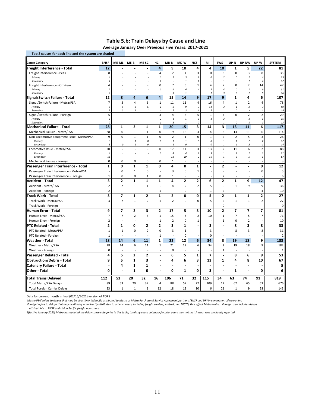#### **Table 5.b: Train Delays by Cause and Line Average January Over Previous Five Years: 2017‐2021**

| Top 2 causes for each line and the system are shaded |                         |                          |                |                         |                                    |                                                       |                           |                              |                                  |                              |                              |                                |                                  |                |
|------------------------------------------------------|-------------------------|--------------------------|----------------|-------------------------|------------------------------------|-------------------------------------------------------|---------------------------|------------------------------|----------------------------------|------------------------------|------------------------------|--------------------------------|----------------------------------|----------------|
| <b>Cause Category</b>                                | <b>BNSF</b>             | ME-ML                    | ME-BI          | ME-SC                   | нc                                 | MD-N                                                  | MD-W                      | <b>NCS</b>                   | RI                               | <b>SWS</b>                   | UP-N                         | UP-NW                          | UP-W                             | <b>SYSTEM</b>  |
| Freight Interference - Total                         | 12                      |                          |                |                         | 4                                  | 9                                                     | 10                        | 4                            | 4                                | 10                           | $\mathbf{1}$                 | 5                              | 22                               | 81             |
| Freight Interference - Peak                          | 8                       |                          |                |                         | 4                                  | $\overline{2}$                                        | 4                         | 3                            | $\mathbf 0$                      | $\mathsf 3$                  | $\mathbf 0$                  | $\overline{3}$                 | 8                                | 35             |
| Primary                                              | $\overline{4}$          |                          |                |                         | $\overline{\mathbf{3}}$            | $\boldsymbol{2}$                                      | $\overline{\mathbf{3}}$   | $\overline{\mathbf{c}}$      | 0                                | $\sqrt{2}$                   | 0                            | $\overline{2}$                 | $\overline{4}$                   | 23             |
| Secondary                                            | $\overline{4}$          |                          |                |                         | $\mathbf{1}$                       |                                                       | $\mathbf{1}$              | $\mathbf{1}$                 |                                  | $\mathbf{1}$                 |                              | $\mathbf{1}$                   | $\overline{4}$                   | 12             |
| Freight Interference - Off-Peak<br>Primary           | 4<br>$\overline{2}$     |                          |                |                         | $\mathbf 0$<br>0                   | $\overline{7}$<br>$\it 4$                             | 6<br>6                    | $\mathbf 1$<br>$\mathbf{1}$  | $\overline{4}$<br>$\overline{2}$ | $\overline{7}$<br>$\sqrt{4}$ | $\mathbf 0$<br>$\mathcal{O}$ | $\overline{2}$<br>$\mathbf{1}$ | 14<br>9                          | 47<br>31       |
| Secondary                                            | $\overline{2}$          |                          |                |                         |                                    | 3                                                     | $\overline{1}$            |                              | $\mathbf{1}$                     | $\overline{3}$               | 0                            | $\mathbf{1}$                   | 5                                | 16             |
| Signal/Switch Failure - Total                        | 12                      | 8                        | 4              | 6                       | 4                                  | 15                                                    | 14                        | 9                            | 17                               | 9                            | $\mathbf{1}$                 | 4                              | 6                                | 107            |
| Signal/Switch Failure - Metra/PSA                    | 7                       | 8                        | 4              | 6                       | $\mathbf 1$                        | 11                                                    | 11                        | 4                            | 16                               | 4                            | $\mathbf 1$                  | $\overline{2}$                 | 4                                | 78             |
| Primary                                              | 5                       | 5                        | $\overline{3}$ | 6                       | $\it 1$                            | 8                                                     | 9                         | 3                            | 11                               | $\sqrt{3}$                   | $\mathbf{1}$                 | $\boldsymbol{2}$               | $\overline{\mathbf{3}}$          | 59             |
| Secondary                                            | $\overline{2}$          | 3                        | $\mathbf{1}$   | $\mathbf{1}$            |                                    | $\overline{2}$                                        | $\overline{\mathbf{3}}$   |                              | 5                                | $\mathbf{1}$                 | 0                            |                                | $\mathbf{1}$                     | 19             |
| Signal/Switch Failure - Foreign<br>Primary           | 5<br>$\overline{3}$     |                          |                |                         | $\overline{3}$<br>$\boldsymbol{2}$ | $\overline{4}$<br>$\it 1$                             | $\overline{3}$<br>$\it 1$ | 5<br>$\overline{\mathbf{3}}$ | $\mathbf{1}$<br>$\mathbf{1}$     | 4<br>$\sqrt{3}$              | $\mathbf 0$                  | $\overline{2}$<br>$\mathbf{1}$ | $\overline{2}$<br>$\overline{1}$ | 29<br>16       |
| Secondary                                            | $\overline{2}$          |                          |                |                         | $\mathbf{1}$                       | 3                                                     | $\overline{1}$            | $\overline{\mathbf{c}}$      |                                  | $\mathbf{1}$                 | 0                            | $\mathbf{1}$                   | $\mathbf{1}$                     | 13             |
| <b>Mechanical Failure - Total</b>                    | 28                      | $\mathbf 1$              | 2              | $\mathbf{1}$            | $\mathbf{1}$                       | 20                                                    | 15                        | 3                            | 14                               | 3                            | 13                           | 11                             | 6                                | 117            |
| Mechanical Failure - Metra/PSA                       | 28                      | $\mathbf 0$              | 1              | 1                       | 0                                  | 19                                                    | 15                        | 3                            | 14                               | 3                            | 13                           | 11                             | 6                                | 114            |
| Non-Locomotive Equipment Issue - Metra/PSA           | 9                       | $\mathbf 0$              | $\mathbf{1}$   | $\mathbf 1$             | $\mathbf 0$                        | $\overline{2}$                                        | $\mathbf 1$               | $\mathbf 0$                  | $\mathbf{1}$                     | $\overline{2}$               | $\overline{2}$               | 5                              | 3                                | 26             |
| Primary                                              | $\overline{3}$          |                          | $\it 1$        | 0                       | 0                                  | $\mathbf{1}% _{T}=\mathbf{1}_{T}\times\mathbf{1}_{T}$ | $\overline{1}$            | 0                            | 0                                | $\it 1$                      | $\mathbf{1}$                 | $\boldsymbol{2}$               | $\overline{2}$                   | 12             |
| Secondary                                            | 5                       | 0<br>$\overline{a}$      | $\mathbf{1}$   | 0                       |                                    | 1                                                     | 0                         |                              | 0                                | $\mathbf{1}$                 | $\mathbf{1}$                 | $\overline{2}$                 | $\mathbf{1}$                     | 14             |
| Locomotive Issue - Metra/PSA<br>Primary              | 20<br>$\overline{4}$    |                          |                |                         | $\pmb{0}$<br>0                     | 17<br>$\sqrt{4}$                                      | 14<br>$\overline{4}$      | 3<br>$\overline{1}$          | 13<br>$\overline{\mathbf{3}}$    | $\sqrt{2}$<br>$\it 1$        | 11<br>$\overline{2}$         | 6<br>$\mathbf{1}$              | $\overline{2}$<br>$\mathbf{1}$   | 88<br>21       |
| Secondary                                            | 16                      |                          |                |                         |                                    | 13                                                    | 10                        | $\overline{\mathbf{c}}$      | 10                               | $\it 1$                      | 9                            | 5                              | $\mathbf{1}$                     | 67             |
| Mechanical Failure - Foreign                         | $\mathbf 0$             | $\mathbf 0$              | $\mathbf 0$    | 0                       | $\mathbf 0$                        | $\mathbf{1}$                                          |                           |                              |                                  |                              | ÷,                           | ÷,                             |                                  | 3              |
| Passenger Train Interference - Total                 | 1                       | 0                        | $\mathbf{1}$   | $\mathbf{1}$            | 0                                  | 4                                                     | 0                         | 1                            |                                  | $\overline{2}$               | $\overline{\phantom{a}}$     | $\overline{a}$                 | 0                                | 12             |
| Passenger Train Interference - Metra/PSA             |                         | 0                        | $\mathbf{1}$   | 0                       |                                    | 3                                                     | 0                         | 1                            |                                  |                              |                              | $\overline{\phantom{a}}$       | 0                                | 5              |
| Passenger Train Interference - Foreign               | $\mathbf 1$             | $\mathbf 0$              | $\mathbf 0$    | $\mathbf{1}$            | 0                                  | $\mathbf{1}$                                          |                           |                              |                                  | $\overline{2}$               |                              |                                |                                  | 6              |
| Accident - Total                                     | 3                       | $\overline{2}$           | $\mathbf{1}$   | $\mathbf{1}$            | $\mathbf{1}$                       | 4                                                     | 2                         | 2                            | 6                                | 2                            | $\mathbf{1}$                 | 9                              | 12                               | 47             |
| Accident - Metra/PSA                                 | $\overline{2}$          | $\overline{2}$           | $\mathbf{1}$   | 1                       |                                    | 4                                                     | $\overline{2}$            | $\overline{2}$               | 5                                |                              | $\mathbf{1}$                 | 9                              | 9                                | 36             |
| Accident - Foreign                                   | $\overline{2}$          |                          |                |                         | 1                                  | $\overline{\phantom{a}}$                              | 0                         |                              | 1                                | $\overline{2}$               |                              | $\overline{\phantom{a}}$       | 4                                | 10             |
| Track Work - Total                                   | 3                       | $\overline{\phantom{a}}$ | $\mathbf{1}$   | $\overline{\mathbf{2}}$ | $\mathbf{1}$                       | $\overline{\mathbf{2}}$                               | 0                         | 0                            | 5                                | $\overline{\mathbf{2}}$      | $\mathbf 1$                  | $\mathbf{1}$                   | $\mathbf{z}$                     | 27             |
| Track Work - Metra/PSA                               | 3                       | $\overline{7}$           | $\mathbf 1$    | $\overline{2}$          | $\mathbf 1$                        | $\overline{2}$                                        | 0                         | $\mathbf 0$                  | 5                                | $\overline{2}$               | $\mathbf 1$                  | $1\,$                          | $\overline{2}$                   | 27             |
| Track Work - Foreign                                 |                         |                          |                |                         |                                    | L.                                                    |                           |                              |                                  | $\pmb{0}$                    | $\overline{a}$               | $\overline{a}$                 |                                  | $\mathbf 0$    |
| <b>Human Error - Total</b>                           | 9                       | $\overline{\phantom{a}}$ | $\overline{2}$ | 3                       | $\mathbf{z}$                       | 17                                                    | 5                         | 3                            | 10                               | $\overline{2}$               | $\overline{\phantom{a}}$     | 7                              | $\overline{7}$                   | 81             |
| Human Error - Metra/PSA                              | 7                       | $\overline{7}$           | $\overline{2}$ | 3                       | $\mathbf{1}$                       | 15                                                    | 5                         | $\mathbf 2$                  | 10                               | $\mathbf{1}$                 | $\overline{7}$               | 5                              | $\overline{7}$                   | 71             |
| Human Error - Foreign                                | $\overline{\mathbf{c}}$ |                          |                |                         | $\mathbf{1}$                       | $\overline{2}$                                        | $\pmb{0}$                 | $\mathbf 1$                  |                                  | $\mathbf{1}$                 | 0                            | $\sqrt{2}$                     |                                  | 10             |
| <b>PTC Related - Total</b>                           | 2                       | 1                        | 0              | $\mathbf{2}$            | $\mathbf{z}$                       | 3                                                     | 1                         |                              | 3                                | $\blacksquare$               | 8                            | 3                              | 8                                | 33             |
| PTC Related - Metra/PSA                              | $\mathbf 1$             | $\mathbf{1}$             | $\pmb{0}$      | $\overline{2}$          | $\pmb{0}$                          | 3                                                     | $\mathbf 1$               |                              | 3                                |                              | 8                            | $\overline{3}$                 | 8                                | 31             |
| PTC Related - Foreign                                | $\mathbf 1$             |                          |                |                         | 1                                  | L,                                                    | 0                         |                              | 0                                |                              |                              |                                |                                  | $\overline{2}$ |
| Weather Total                                        | 28                      | 14                       | 6              | 11                      | $\mathbf{1}$                       | 22                                                    | 12                        | $6\phantom{1}6$              | 34                               | 3                            | 19                           | 18                             | 9                                | 183            |
| Weather - Metra/PSA                                  | 28                      | 14                       | 6              | 11                      | $\mathbf{1}$                       | 21                                                    | 12                        | 6                            | 34                               | $\mathbf 2$                  | 19                           | 18                             | 9                                | 182            |
| Weather - Foreign                                    | 0                       |                          |                |                         |                                    | 0                                                     |                           |                              |                                  | 1                            |                              | $\overline{\phantom{a}}$       |                                  | $\mathbf 1$    |
| Passenger Related - Total                            | 4                       | 5                        | 2              | $\mathbf{2}$            | ÷                                  | 6                                                     | 5                         | $\mathbf{1}$                 | 7                                | $\ddot{\phantom{a}}$         | 8                            | 6                              | 9                                | 53             |
| <b>Obstruction/Debris - Total</b>                    | 9                       | 5                        | $\mathbf{1}$   | 3                       |                                    | 4                                                     | 6                         | 3                            | 13                               | 1                            | 4                            | 8                              | 10                               | 67             |
| <b>Catenary Failure - Total</b>                      | ٠                       | 4                        | 1              | 1                       |                                    |                                                       |                           |                              |                                  |                              |                              |                                |                                  | 5              |
| Other - Total                                        | 0                       |                          | $\mathbf{1}$   | 0                       | ä,                                 | $\mathbf 0$                                           | 1                         | 0                            | 3                                | ä,                           | $\mathbf{1}$                 |                                | 0                                | 6              |
| <b>Total Trains Delayed</b>                          | 112                     | 53                       | 20             | 32                      | 16                                 | 106                                                   | 71                        | 32                           | 115                              | 34                           | 63                           | 74                             | 91                               | 819            |
| <b>Total Metra/PSA Delays</b>                        | 89                      | 53                       | 20             | 32                      | 4                                  | 88                                                    | 57                        | 22                           | 109                              | 12                           | 62                           | 65                             | 63                               | 676            |
| <b>Total Foreign Carrier Delays</b>                  | 23                      | $\mathbf{1}$             | $\mathbf{1}$   | $\mathbf{1}$            | 12                                 | 18                                                    | 13                        | 10                           | 6                                | 21                           | $\mathbf{1}$                 | 9                              | 28                               | 143            |

Data for current month is final (02/16/2021) version of TOPS

*'Metra/PSA' refers to delays that may be directly or indirectly attributed to Metra or Metra Purchase of Service Agreement partners (BNSF and UP) in commuter rail operation.*

'Foreign' refers to delays that may be directly or indirectly attributed to other carriers, including freight carriers, Amtrak, and NICTD, that affect Metra trains. 'Foreign' also includes delays<br> attributable to BNSF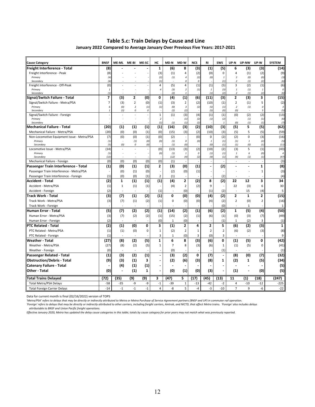#### **Table 5.c: Train Delays by Cause and Line January 2022 Compared to Average January Over Previous Five Years: 2017‐2021**

| <b>Cause Category</b>                      | <b>BNSF</b>       | <b>ME-ML</b>                    | ME-BI                         | ME-SC      | нc                       | MD-N           | MD-W                  | <b>NCS</b>               | RI                       | <b>SWS</b>     | UP-N                               | UP-NW                    | UP-W           | <b>SYSTEM</b>         |
|--------------------------------------------|-------------------|---------------------------------|-------------------------------|------------|--------------------------|----------------|-----------------------|--------------------------|--------------------------|----------------|------------------------------------|--------------------------|----------------|-----------------------|
| Freight Interference - Total               | (8)               |                                 |                               |            | $\mathbf{1}$             | (6)            | 8                     | (3)                      | (1)                      | (5)            | 6                                  | (3)                      | (3)            | (14)                  |
| Freight Interference - Peak                | (8)               |                                 |                               |            | (3)                      | (1)            | 4                     | (2)                      | (0)                      | $\mathbf 0$    | 4                                  | (1)                      | (2)            | (9)                   |
| Primary<br>Secondary                       | (4)<br>(4)        |                                 |                               |            | (2)<br>(1)               | (1)            | $\sqrt{4}$<br>0       | (2)<br>0                 | (0)                      | $\it 1$<br>(1) | $\boldsymbol{2}$<br>$\overline{2}$ | (0)<br>(1)               | (0)<br>(2)     | (3)<br>(6)            |
| Freight Interference - Off-Peak            | (0)               |                                 |                               |            | $\overline{4}$           | (5)            | 4                     | (1)                      | (1)                      | (5)            | 3                                  | (2)                      | (1)            | (6)                   |
| Primary                                    | $\overline{1}$    |                                 |                               |            | $\overline{4}$           | (3)            | $\overline{2}$        | (1)                      | $\mathbf{1}$             | (3)            | $\mathbf{1}$                       | (1)                      | $\mathbf{1}$   | 0                     |
| Secondary                                  | (1)               |                                 |                               |            |                          | (2)            | $\overline{1}$        |                          | (1)                      | (2)            | $\overline{2}$                     | (1)                      | (2)            | (6)                   |
| Signal/Switch Failure - Total              | 7                 | (3)                             | $\overline{2}$                | (0)        | 0                        | (4)            | (1)                   | (6)                      | (11)                     | (3)            | $\overline{2}$                     | (3)                      | 3              | (15)                  |
| Signal/Switch Failure - Metra/PSA          | 7                 | (3)                             | $\overline{2}$                | (0)        | (1)                      | (3)            | $\overline{2}$        | (2)                      | (10)                     | (1)            | $\overline{2}$                     | (1)                      | 5              | (2)                   |
| Primary<br>Secondary                       | 6<br>$\mathbf{1}$ | (0)<br>(3)                      | $\overline{\phantom{a}}$<br>0 | (1)<br>0   | (1)                      | (0)<br>(2)     | $\overline{3}$<br>(2) | (2)                      | (5)<br>(5)               | (1)<br>(0)     | $\overline{2}$<br>(0)              | (1)<br>$\overline{a}$    | 0<br>5         | $\overline{3}$<br>(5) |
| Signal/Switch Failure - Foreign            |                   |                                 |                               |            | $\mathbf{1}$             | (1)            | (3)                   | (4)                      | (1)                      | (1)            | (0)                                | (2)                      | (2)            | (13)                  |
| Primary                                    |                   |                                 |                               |            | $\overline{2}$           |                | (1)                   | (2)                      | (1)                      | (2)            | ÷.                                 | (1)                      | (1)            | (6)                   |
| Secondary                                  |                   |                                 |                               |            | (1)                      | (1)            | (1)                   | (2)                      |                          | $\mathbf{1}$   | (0)                                | (1)                      | (1)            | (7)                   |
| Mechanical Failure - Total                 | (20)              | (1)                             | (1)                           | (1)        | (1)                      | (16)           | (3)                   | (2)                      | (10)                     | (3)            | (5)                                | 5                        | (5)            | (62)                  |
| Mechanical Failure - Metra/PSA             | (20)              | (0)                             | (0)                           | (1)        | (0)                      | (15)           | (3)                   | (2)                      | (10)                     | (3)            | (5)                                | 5                        | (5)            | (59)                  |
| Non-Locomotive Equipment Issue - Metra/PSA | (7)               | (0)                             | (0)                           | (1)        | (0)                      | (2)            | $\sim$                | (0)                      | $\Omega$                 | (2)            | (2)                                | $\Omega$                 | (3)            | (16)                  |
| Primary<br>Secondary                       | (1)<br>(5,        | $\overline{\phantom{a}}$<br>(0) | (1)<br>0                      | (0)<br>(0) | (0)                      | (1)<br>(1)     | $\mathcal O$<br>(0)   | (0)                      | 1<br>(0)                 | (1)<br>(1)     | (1)<br>(1)                         | $\mathbf{1}$<br>(0)      | (2)<br>(1)     | (5)<br>(11)           |
| Locomotive Issue - Metra/PSA               | (14)              |                                 |                               |            | (0)                      | (13)           | (3)                   | (2)                      | (10)                     | (2)            | (3)                                | 5                        | (1)            | (43)                  |
| Primary                                    | (1)               |                                 |                               |            | (0)                      | (1)            | $\it 1$               | 0                        | (1)                      | (1)            | $\it 1$                            | 6                        | (0)            | $\it 4$               |
| Secondary                                  | (13)              |                                 |                               |            |                          | (12)           | (4)                   | (2)                      | (9)                      | (1)            | (4)                                | (1)                      | (1)            | (47)                  |
| Mechanical Failure - Foreign               | (0)               | (0)                             | (0)                           | (0)        | (0)                      | (1)            | ÷,                    | $\overline{\phantom{a}}$ | $\overline{\phantom{a}}$ |                | $\overline{\phantom{a}}$           | $\overline{\phantom{a}}$ | ÷.             | (3)                   |
| Passenger Train Interference - Total       | (1)               | (0)                             | (1)                           | (1)        | 2                        | (3)            | (0)                   | (1)                      |                          | (2)            | ä,                                 |                          | 1              | (8)                   |
| Passenger Train Interference - Metra/PSA   |                   | (0)                             | (1)                           | (0)        |                          | (2)            | (0)                   | (1)                      |                          |                |                                    |                          | 1              | (3)                   |
| Passenger Train Interference - Foreign     | (1)               | (0)                             | (0)                           | (1)        | $\overline{2}$           | (1)            |                       |                          |                          | (2)            |                                    | ÷,                       |                | (4)                   |
| Accident - Total                           | (2)               | $\mathbf{1}$                    | (1)                           | (1)        | (1)                      | (4)            | $\overline{2}$        | (2)                      | 8                        | (2)            | 22                                 | 12                       | 3              | 34                    |
| Accident - Metra/PSA                       | (1)               | 1                               | (1)                           | (1)        |                          | (4)            | $\mathbf 2$           | (2)                      | 9                        |                | 22                                 | (3)                      | 6              | 30                    |
| Accident - Foreign                         | (2)               |                                 |                               |            | (1)                      | $\sim$         | (0)                   |                          | (1)                      | (2)            | $\overline{a}$                     | 15                       | (4)            | 5                     |
| Track Work - Total                         | (3)               | (7)                             | (1)                           | (2)        | (1)                      | 0              | (0)                   | (0)                      | (4)                      | (2)            | $\overline{2}$                     | $\mathbf{1}$             | 2              | (15)                  |
| Track Work - Metra/PSA                     | (3)               | (7)                             | (1)                           | (2)        | (1)                      | $\pmb{0}$      | (0)                   | (0)                      | (4)                      | (2)            | $\overline{2}$                     | (0)                      | $\overline{2}$ | (16)                  |
| Track Work - Foreign                       |                   |                                 |                               |            |                          |                |                       |                          |                          | (0)            |                                    | $\mathbf{1}$             |                | $\mathbf{1}$          |
| Human Error - Total                        | (5)               | (7)                             | (2)                           | (2)        | (1)                      | (14)           | (2)                   | (1)                      | (6)                      | (2)            | $\mathbf{1}$                       | (5)                      | (4)            | (50)                  |
| Human Error - Metra/PSA                    | (3)               | (7)                             | (2)                           | (2)        | (1)                      | (15)           | (2)                   | (1)                      | (6)                      | (1)            | (0)                                | (3)                      | (7)            | (49)                  |
| Human Error - Foreign                      | (2)               |                                 |                               |            | (0)                      | $\mathbf{1}$   | (0)                   |                          |                          | (1)            | $\mathbf{1}$                       | (2)                      | 3              | (1)                   |
| PTC Related - Total                        | (2)               | (1)                             | (0)                           | 0          | 3                        | (1)            | 2                     | 4                        | 2                        | 5              | (6)                                | (2)                      | $\overline{3}$ | $\mathbf{1}$          |
| PTC Related - Metra/PSA                    | (1)               | (1)                             | (0)                           | 0          | $\mathbf{1}$             | (2)            | $\overline{2}$        | $\mathbf 1$              | $\overline{2}$           | $\overline{2}$ | (6)                                | (2)                      | (3)            | (8)                   |
| PTC Related - Foreign                      | (1)               |                                 |                               |            | 3                        | $\mathbf{1}$   | (0)                   | 3                        | (0)                      | 3              | ÷.                                 | ÷,                       |                | 9                     |
| <b>Weather - Total</b>                     | (27)              | (8)                             | (2)                           | (5)        | 1                        | 6              | 8                     | (3)                      | (6)                      | 0              | (1)                                | (5)                      | 0              | (42)                  |
| Weather - Metra/PSA                        | (27)              | (8)                             | (2)                           | (5)        | $\mathbf{1}$             | $\overline{7}$ | 8                     | (3)                      | (6)                      | $\mathbf 1$    | (1)                                | (5)                      | 0              | (41)                  |
| Weather - Foreign                          | (0)               |                                 |                               |            |                          | (0)            |                       |                          |                          | (1)            |                                    |                          |                | (1)                   |
| Passenger Related - Total                  | (1)               | (3)                             | (2)                           | (1)        | $\overline{\phantom{a}}$ | (3)            | (2)                   | 0                        | (7)                      | $\blacksquare$ | (8)                                | (0)                      | (7)            | (32)                  |
| <b>Obstruction/Debris - Total</b>          | (9)               | (3)                             | (1)                           | 3          | $\overline{a}$           | (2)            | (6)                   | (3)                      | (8)                      | $\mathbf{1}$   | (2)                                | 1                        | (5)            | (34)                  |
| <b>Catenary Failure - Total</b>            |                   | (4)                             | (1)                           | (1)        |                          |                |                       |                          |                          |                |                                    |                          |                | (5)                   |
| Other - Total                              | (0)               |                                 | (1)                           | 1          | ÷,                       | (0)            | (1)                   | (0)                      | (3)                      |                | (1)                                |                          | (0)            | (5)                   |
| Total Trains Delayed                       | (72)              | (35)                            | (9)                           | (9)        | 3                        | (47)           | 5                     | (17)                     | (45)                     | (13)           | 11                                 | (1)                      | (18)           | (247)                 |
| <b>Total Metra/PSA Delays</b>              | $-58$             | $-35$                           | -9                            | -9         | $^{\mbox{-}}1$           | $-39$          | $\mathbf 1$           | $-13$                    | $-42$                    | $-2$           | 4                                  | $-10$                    | $-12$          | $-225$                |
| <b>Total Foreign Carrier Delays</b>        | $-14$             | $-1$                            | $-1$                          | $-1$       | 4                        | -8             | 5                     | $-4$                     | $-3$                     | $-10$          | $\overline{7}$                     | 9                        | -6             | $-22$                 |

Data for current month is final (02/16/2022) version of TOPS

*'Metra/PSA' refers to delays that may be directly or indirectly attributed to Metra or Metra Purchase of Service Agreement partners (BNSF and UP) in commuter rail operation.*

'Foreign' refers to delays that may be directly or indirectly attributed to other carriers, including freight carriers, Amtrak, and NICTD, that affect Metra trains. 'Foreign' also includes delays<br> attributable to BNSF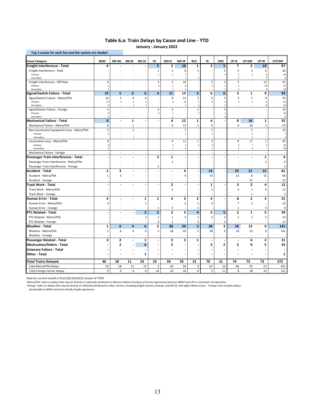## **Table 6.a: Train Delays by Cause and Line ‐ YTD**

|  | January - January 2022 |  |
|--|------------------------|--|
|--|------------------------|--|

| Top 2 causes for each line and the system are shaded |                               |                |              |                |                         |                            |                                |                                |                |                          |                                                      |                                  |                         |                         |
|------------------------------------------------------|-------------------------------|----------------|--------------|----------------|-------------------------|----------------------------|--------------------------------|--------------------------------|----------------|--------------------------|------------------------------------------------------|----------------------------------|-------------------------|-------------------------|
| <b>Cause Category</b>                                | <b>BNSF</b>                   | ME-ML          | ME-BI        | ME-SC          | нc                      | MD-N                       | MD-W                           | <b>NCS</b>                     | <b>RI</b>      | <b>SWS</b>               | UP-N                                                 | UP-NW                            | UP-W                    | <b>SYSTEM</b>           |
| Freight Interference - Total                         | 4                             |                |              |                | 5                       | з                          | 18                             | 1                              | з              | 5                        | 7                                                    | 2                                | 19                      | 67                      |
| Freight Interference - Peak                          |                               |                |              |                | 1                       | $\mathbf{1}$               | 8                              | $\mathbf{1}$                   |                | 3                        | 4                                                    | $\overline{2}$                   | 6                       | 26                      |
| Primary<br>Secondary                                 |                               |                |              |                | $\mathbf{1}$            | $\it 1$                    | 7<br>$\mathbf{I}$              |                                |                | 3                        | $\overline{\phantom{a}}$<br>$\overline{\phantom{a}}$ | $\overline{2}$                   | $\overline{4}$<br>2     | 20<br>6                 |
| Freight Interference - Off-Peak                      | 4                             |                |              |                | 4                       | $\overline{2}$             | 10                             |                                | 3              | $\overline{2}$           | 3                                                    | ä,                               | 13                      | 41                      |
| Primary                                              | -3                            |                |              |                | $\overline{a}$          | $\mathbf{1}$               | $\mathcal{S}_{\mathcal{S}}$    |                                | $\overline{3}$ | $\it 1$                  | $\mathbf{1}$                                         |                                  | 10                      | 31                      |
| Secondary                                            | 19                            | 5              | 6            | 6              | $\overline{a}$          | $\mathbf{1}$<br>11         | $\overline{\phantom{a}}$<br>13 | $\overline{\mathbf{3}}$        | 6              | $\mathbf{1}$<br>6        | $\overline{\phantom{a}}$<br>3                        | $\mathbf{1}$                     | $\overline{3}$<br>9     | 10<br>92                |
| Signal/Switch Failure - Total                        |                               |                |              |                |                         |                            |                                |                                |                |                          |                                                      |                                  |                         |                         |
| Signal/Switch Failure - Metra/PSA<br>Primary         | 14<br>11                      | 5<br>5         | 6<br>5       | 6<br>5         |                         | 8<br>8                     | 13<br>12                       | $\overline{2}$<br>$\mathbf{1}$ | 6<br>6         | 3<br>$\overline{z}$      | 3<br>$\overline{3}$                                  | $\mathbf 1$<br>$\mathbf{1}$      | 9<br>3                  | 76<br>62                |
| Secondary                                            | $\overline{3}$                |                | $\mathbf{1}$ | $\mathbf{1}$   |                         |                            | $\mathbf{1}$                   | $\mathbf{1}$                   |                | $\mathbf{I}$             |                                                      |                                  | 6                       | 14                      |
| Signal/Switch Failure - Foreign                      | 5                             |                |              |                | 4                       | 3                          |                                | $\mathbf{1}$                   |                | 3                        |                                                      |                                  |                         | 16                      |
| Primary                                              | $\overline{3}$                |                |              |                | $\overline{a}$          | $\it 1$                    |                                | $\mathbf{1}$                   |                | $\mathbf{1}$             |                                                      |                                  |                         | 10                      |
| Secondary<br>Mechanical Failure - Total              | $\overline{\phantom{a}}$<br>8 |                | $\mathbf{1}$ | ÷              |                         | $\overline{2}$<br>4        | 12                             | $\mathbf{1}$                   | 4              | $\overline{\phantom{a}}$ | 8                                                    | 16                               | $\mathbf{1}$            | 6<br>55                 |
| Mechanical Failure - Metra/PSA                       | 8                             |                | $\mathbf{1}$ |                |                         | 4                          | 12                             | $\mathbf{1}$                   | $\overline{4}$ |                          | 8                                                    | 16                               | $\mathbf 1$             | 55                      |
| Non-Locomotive Equipment Issue - Metra/PSA           | $\overline{2}$                |                | $\mathbf{1}$ |                |                         |                            | $\mathbf{1}$                   |                                | $\mathbf{1}$   |                          |                                                      | 5                                |                         | 10                      |
| Primary                                              | $\overline{\phantom{a}}$      |                |              |                |                         |                            | $\mathbf{I}$                   |                                |                |                          |                                                      | $\boldsymbol{\mathsf{3}}$        |                         | $\overline{7}$          |
| Secondary                                            |                               |                |              |                |                         |                            |                                |                                |                |                          |                                                      | $\overline{2}$                   |                         | $\overline{\mathbf{3}}$ |
| Locomotive Issue - Metra/PSA                         | 6                             |                |              |                |                         | 4                          | 11                             | $\mathbf{1}$                   | $\overline{3}$ |                          | 8                                                    | 11                               | $\mathbf{1}$            | 45                      |
| Primary                                              | $\overline{\mathbf{3}}$<br>3  |                |              |                |                         | $\sqrt{3}$<br>$\mathbf{1}$ | 5<br>6                         | $\mathbf{1}$                   | $\overline{2}$ |                          | $\overline{\mathbf{3}}$<br>5                         | $\overline{7}$<br>$\overline{a}$ | $\mathbf{1}$            | 25                      |
| Secondary<br>Mechanical Failure - Foreign            |                               |                |              |                |                         | ×,                         |                                |                                |                |                          |                                                      | ä,                               |                         | 20                      |
| Passenger Train Interference - Total                 |                               |                |              |                | $\overline{2}$          | $\mathbf{1}$               |                                |                                |                |                          |                                                      |                                  | $\mathbf{1}$            | 4                       |
| Passenger Train Interference - Metra/PSA             |                               |                |              |                |                         | $\mathbf 1$                |                                |                                |                |                          |                                                      |                                  | $\mathbf{1}$            | $\mathbf 2$             |
| Passenger Train Interference - Foreign               |                               |                |              |                | $\overline{2}$          |                            |                                |                                |                |                          |                                                      |                                  |                         | 2                       |
| Accident - Total                                     | 1                             | 3              |              |                | ٠                       | $\overline{\phantom{a}}$   | 4                              |                                | 14             |                          | 23                                                   | 21                               | 15                      | 81                      |
| Accident - Metra/PSA                                 | $\mathbf{1}$                  | 3              |              |                |                         |                            | 4                              |                                | 14             |                          | 23                                                   | 6                                | 15                      | 66                      |
| Accident - Foreign                                   |                               |                |              |                |                         |                            |                                |                                |                |                          |                                                      | 15                               |                         | 15                      |
| Track Work - Total                                   |                               |                |              |                |                         | 2                          |                                |                                | 1              |                          | 3                                                    | $\overline{2}$                   | 4                       | ${\bf 12}$              |
| Track Work - Metra/PSA                               |                               |                |              |                |                         | $\overline{2}$             |                                |                                | 1              |                          | 3                                                    | $\mathbf{1}$                     | 4                       | 11                      |
| Track Work - Foreign                                 |                               |                |              |                |                         |                            |                                |                                |                |                          |                                                      | $\mathbf{1}$                     |                         | $\mathbf{1}$            |
| Human Error - Total                                  | 4                             |                |              | $\mathbf{1}$   | $\mathbf{1}$            | 3                          | 3                              | $\overline{2}$                 | 4              |                          | 8                                                    | $\overline{2}$                   | 3                       | 31                      |
| Human Error - Metra/PSA                              | $\overline{a}$                |                |              | $\mathbf 1$    |                         |                            | 3                              | $\mathbf{1}$                   | 4              |                          | $\overline{7}$                                       | $\overline{2}$                   |                         | 22                      |
| Human Error - Foreign                                |                               |                |              |                | 1                       | 3                          |                                | $\mathbf{1}$                   |                |                          | 1                                                    |                                  | 3                       | 9                       |
| PTC Related - Total                                  |                               |                |              | $\overline{2}$ | 5                       | 2                          | 3                              | $\overline{\mathbf{4}}$        | 5              | 5                        | 2                                                    | $\mathbf{1}$                     | 5                       | 34                      |
| PTC Related - Metra/PSA                              |                               |                |              | $\overline{2}$ | 1                       | $\mathbf{1}$               | 3                              | $\mathbf{1}$                   | 5              | $\overline{2}$           | $\overline{2}$                                       | $\mathbf{1}$                     | 5                       | 23                      |
| PTC Related - Foreign                                |                               |                |              |                | $\overline{4}$          | $\mathbf{1}$               |                                | 3                              |                | 3                        |                                                      | ÷                                |                         | 11                      |
| Weather - Total                                      | $\mathbf 1$                   | 6              | 4            | 6              | $\overline{\mathbf{c}}$ | 28                         | 20                             | $\overline{\mathbf{3}}$        | 28             | 3                        | 18                                                   | 13                               | 9                       | 141                     |
| Weather - Metra/PSA                                  | $\mathbf 1$                   | 6              | 4            | 6              | $\overline{2}$          | 28                         | 20                             | 3                              | 28             | 3                        | 18                                                   | 13                               | 9                       | 141                     |
| Weather - Foreign                                    |                               |                |              |                |                         |                            |                                |                                |                |                          |                                                      | J.                               |                         |                         |
| Passenger Related - Total                            | 3                             | $\overline{2}$ |              | $\mathbf{1}$   |                         | 3                          | 3                              | $\mathbf{1}$                   |                |                          | Ĭ.                                                   | 6                                | $\overline{\mathbf{c}}$ | 21                      |
| <b>Obstruction/Debris - Total</b>                    |                               | 2              |              | 6              |                         | 2                          |                                |                                | 5              | 2                        | 2                                                    | 9                                | 5                       | 33                      |
| <b>Catenary Failure - Total</b>                      |                               |                |              |                |                         |                            |                                |                                |                |                          |                                                      |                                  |                         |                         |
| Other - Total                                        |                               |                |              | 1              |                         |                            |                                |                                |                |                          |                                                      |                                  |                         | 1                       |
| Total Trains Delayed                                 | 40                            | 18             | 11           | 23             | 19                      | 59                         | 76                             | 15                             | 70             | 21                       | 74                                                   | 73                               | 73                      | 572                     |
| <b>Total Metra/PSA Delays</b>                        | 31                            | 18             | 11           | 23             | 3                       | 49                         | 58                             | 9                              | 67             | 10                       | 66                                                   | 55                               | 51                      | 451                     |
| <b>Total Foreign Carrier Delays</b>                  | 9                             | $\mathbf 0$    | 0            | $\mathsf 0$    | 16                      | 10                         | 18                             | 6                              | $\overline{3}$ | 11                       | 8                                                    | 18                               | 22                      | 121                     |

Data for current month is final (02/16/2022) version of TOPS

'Metra/PSA' refers to delays that may be directly or indirectly attributed to Metra or Metra Puchase of Service Agreement partners (BNSF and UP) in commuter rail operation.<br>'Foreign' refers to delays that may be directly o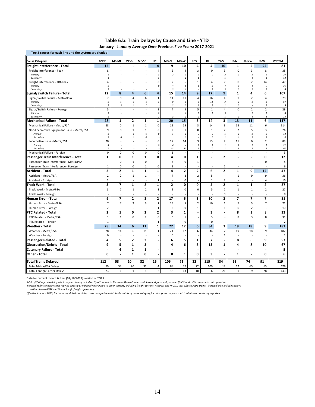#### **Table 6.b: Train Delays by Cause and Line ‐ YTD**

 **January ‐ January Average Over Previous Five Years: 2017‐2021** 

| Top 2 causes for each line and the system are shaded |                              |                |                         |                |                            |                                  |                                  |                                              |                                            |                                          |                          |                           |                              |                |
|------------------------------------------------------|------------------------------|----------------|-------------------------|----------------|----------------------------|----------------------------------|----------------------------------|----------------------------------------------|--------------------------------------------|------------------------------------------|--------------------------|---------------------------|------------------------------|----------------|
| <b>Cause Category</b>                                | <b>BNSF</b>                  | ME-ML          | ME-BI                   | ME-SC          | нc                         | MD-N                             | MD-W                             | <b>NCS</b>                                   | RI                                         | <b>SWS</b>                               | UP-N                     | UP-NW                     | UP-W                         | <b>SYSTEM</b>  |
| Freight Interference - Total                         | 12                           |                |                         |                | 4                          | 9                                | 10                               | 4                                            | 4                                          | 10                                       | $\mathbf{1}$             | 5                         | 22                           | 81             |
| Freight Interference - Peak                          | 8                            |                |                         |                | $\overline{4}$             | 2                                | 4                                | 3                                            | $\Omega$                                   | 3                                        | $\Omega$                 | 3                         | 8                            | 35             |
| Primary                                              | $\overline{4}$               |                |                         |                | $\sqrt{3}$                 | $\overline{2}$                   | 3                                | $\overline{2}$                               | 0                                          | $\boldsymbol{2}$                         | 0                        | $\overline{2}$            | $\overline{4}$               | 23             |
| Secondary                                            |                              |                |                         |                | $\mathbf{1}$               |                                  | $\overline{1}$                   | $\mathbf{1}$                                 |                                            | $\mathbf{1}$                             |                          | $\mathbf{1}$              | 4                            | 12             |
| Freight Interference - Off-Peak<br>Primary           | 4<br>$\overline{2}$          |                |                         |                | $\mathbf 0$<br>0           | $\overline{7}$<br>$\overline{a}$ | 6<br>6                           | $\mathbf 1$<br>$\mathbf{1}$                  | $\overline{4}$<br>$\overline{\phantom{a}}$ | $\overline{7}$<br>4                      | $\mathbf 0$<br>$\Omega$  | $\overline{2}$<br>$\it 1$ | 14<br>9                      | 47<br>31       |
| Secondary                                            | $\overline{\phantom{a}}$     |                |                         |                |                            | $\overline{3}$                   | $\mathbf{1}$                     |                                              | -1                                         | $\overline{3}$                           | 0                        | $\mathbf{I}$              | 5                            | 16             |
| Signal/Switch Failure - Total                        | 12                           | 8              | $\overline{a}$          | 6              | 4                          | 15                               | 14                               | 9                                            | 17                                         | 9                                        | $\mathbf{1}$             | 4                         | 6                            | 107            |
| Signal/Switch Failure - Metra/PSA                    | $\overline{7}$               | 8              | $\overline{4}$          | 6              | $\mathbf{1}$               | 11                               | 11                               | 4                                            | 16                                         | 4                                        | $\mathbf{1}$             | $\overline{2}$            | $\overline{4}$               | 78             |
| Primary                                              | 5                            | 5              | $\overline{\mathbf{3}}$ | 6              | $\mathbf{1}$               | 8                                | 9                                | $\overline{3}$                               | 11                                         | $\overline{3}$                           | $\mathbf{I}$             | $\overline{2}$            | 3                            | 59             |
| Secondary                                            | $\overline{2}$               | $\overline{3}$ |                         | 1              |                            | $\overline{2}$                   | $\overline{3}$                   |                                              | 5                                          | $\mathbf{1}$                             | 0                        |                           | 1                            | 19             |
| Signal/Switch Failure - Foreign                      | 5                            |                |                         |                | $\mathsf 3$                | 4                                | 3                                | 5                                            | $\mathbf{1}$                               | 4                                        | $\mathbf 0$              | $\overline{2}$            | $\overline{2}$               | 29             |
| Primary<br>Secondary                                 | $\sqrt{3}$<br>$\overline{z}$ |                |                         |                | $\sqrt{2}$<br>$\mathbf{1}$ | $\it 1$<br>$\overline{3}$        | $\overline{1}$<br>$\overline{1}$ | $\boldsymbol{\mathcal{Z}}$<br>$\overline{2}$ | $\mathbf{1}$                               | $\sqrt{3}$<br>$\mathbf{1}$               | 0                        | $\,$ 1<br>$\mathbf{1}$    | $\mathbf{1}$<br>$\mathbf{1}$ | 16<br>13       |
| Mechanical Failure - Total                           | 28                           | 1              | $\overline{2}$          | $\mathbf{1}$   | 1                          | 20                               | 15                               | 3                                            | 14                                         | 3                                        | 13                       | 11                        | 6                            | 117            |
| Mechanical Failure - Metra/PSA                       | 28                           | $\mathbf 0$    | $\mathbf{1}$            | 1              | $\mathbf 0$                | 19                               | 15                               | 3                                            | 14                                         | 3                                        | 13                       | 11                        | 6                            | 114            |
| Non-Locomotive Equipment Issue - Metra/PSA           | 9                            | $\mathbf 0$    | $\mathbf{1}$            | $\mathbf{1}$   | 0                          | $\overline{2}$                   | $\mathbf 1$                      | 0                                            | $\mathbf{1}$                               | $\overline{2}$                           | $\overline{2}$           | 5                         | $\overline{\mathbf{3}}$      | 26             |
| Primary                                              | $\sqrt{3}$                   |                | $\mathbf{1}$            | 0              | $\pmb{\mathit{o}}$         | $\it 1$                          | $\overline{1}$                   | 0                                            | 0                                          | $\mathbf{1}$                             | $\mathbf{1}$             | $\overline{2}$            | $\overline{\phantom{a}}$     | 12             |
| Secondary                                            | 5                            | $\Omega$       | $\mathbf{1}$            | 0              |                            | $\mathbf{1}$                     | $\Omega$                         |                                              | $\Omega$                                   | $\mathbf{1}$                             | $\mathbf{1}$             | $\overline{\phantom{a}}$  | 1                            | 14             |
| Locomotive Issue - Metra/PSA                         | 20                           |                |                         |                | $\mathbf 0$                | 17                               | 14                               | 3                                            | 13                                         | $\overline{2}$                           | 11                       | 6                         | $\overline{2}$               | 88             |
| Primary<br>Secondary                                 | $\overline{4}$<br>16         |                |                         |                | $\cal O$                   | $\overline{4}$<br>13             | $\overline{4}$<br>$10\,$         | $\mathbf{1}$<br>$\overline{2}$               | $\overline{\mathbf{3}}$<br>10              | $\it 1$<br>$\mathbf{1}$                  | $\boldsymbol{2}$<br>9    | $\it 1$<br>5              | $\mathbf{1}$<br>$\mathbf{1}$ | 21<br>67       |
| Mechanical Failure - Foreign                         | $\mathbf 0$                  | $\mathbf 0$    | 0                       | $\mathbf 0$    | $\mathsf 0$                | $\mathbf{1}$                     |                                  |                                              | ÷.                                         |                                          | ÷                        | ÷                         |                              | 3              |
| Passenger Train Interference - Total                 | $\mathbf{1}$                 | 0              | $\mathbf{1}$            | $\mathbf{1}$   | 0                          | 4                                | $\mathbf 0$                      | $\mathbf{1}$                                 |                                            | $\overline{2}$                           |                          |                           | 0                            | 12             |
| Passenger Train Interference - Metra/PSA             |                              | $\mathbf 0$    | 1                       | 0              |                            | 3                                | $\mathbf 0$                      | $\mathbf{1}$                                 |                                            |                                          |                          |                           | $\mathbf 0$                  | 5              |
| Passenger Train Interference - Foreign               | 1                            | 0              | 0                       | 1              | $\mathsf 0$                | $1\,$                            |                                  |                                              |                                            | $\overline{2}$                           |                          |                           |                              | 6              |
| Accident - Total                                     | 3                            | 2              | $\mathbf{1}$            | $\mathbf{1}$   | 1                          | 4                                | 2                                | 2                                            | 6                                          | 2                                        | 1                        | 9                         | 12                           | 47             |
| Accident - Metra/PSA                                 | $\overline{2}$               | $\overline{2}$ | $\mathbf 1$             | $\mathbf 1$    |                            | $\overline{4}$                   | $\overline{2}$                   | $\overline{2}$                               | 5                                          |                                          | $\mathbf 1$              | 9                         | 9                            | 36             |
| Accident - Foreign                                   | $\overline{2}$               |                |                         |                | 1                          |                                  | 0                                |                                              | $\mathbf{1}$                               | $\overline{2}$                           |                          |                           | 4                            | 10             |
| Track Work - Total                                   | 3                            | 7              | $\mathbf 1$             | $\overline{2}$ | 1                          | $\overline{2}$                   | 0                                | $\mathbf 0$                                  | 5                                          | $\overline{\mathbf{2}}$                  | $\mathbf{1}$             | $\mathbf 1$               | $\overline{\mathbf{c}}$      | 27             |
| Track Work - Metra/PSA                               | 3                            | $\overline{7}$ | $\mathbf{1}$            | $\overline{2}$ | $1\,$                      | $\mathbf 2$                      | 0                                | $\mathbf 0$                                  | 5                                          | $\overline{2}$                           | $\mathbf 1$              | $\mathbf 1$               | $\overline{2}$               | 27             |
| Track Work - Foreign                                 |                              |                |                         |                |                            |                                  |                                  |                                              |                                            | 0                                        |                          | ÷                         |                              | 0              |
| Human Error - Total                                  | 9                            | $\overline{7}$ | 2                       | 3              | 2                          | 17                               | 5                                | 3                                            | 10                                         | 2                                        | $\overline{\phantom{a}}$ | $\overline{ }$            | $\overline{\phantom{a}}$     | 81             |
| Human Error - Metra/PSA                              | 7                            | $\overline{7}$ | $\overline{2}$          | 3              | $\mathbf{1}$               | 15                               | 5                                | $\overline{2}$                               | 10                                         | 1                                        | $\overline{7}$           | 5                         | $\overline{7}$               | 71             |
| Human Error - Foreign                                | $\overline{2}$               |                |                         |                | $\mathbf{1}$               | $\overline{2}$                   | 0                                | $\mathbf{1}$                                 |                                            | 1                                        | $\Omega$                 | $\overline{2}$            |                              | 10             |
| PTC Related - Total                                  | 2                            | $\mathbf{1}$   | 0                       | $\overline{2}$ | $\overline{\mathbf{c}}$    | 3                                | ${\bf 1}$                        |                                              | 3                                          |                                          | 8                        | 3                         | 8                            | 33             |
| PTC Related - Metra/PSA                              | $\mathbf 1$                  | $\mathbf 1$    | $\mathbf 0$             | $\overline{2}$ | $\mathbf 0$                | 3                                | $\mathbf 1$                      |                                              | 3                                          |                                          | 8                        | 3                         | 8                            | 31             |
|                                                      | $\mathbf{1}$                 |                |                         |                |                            |                                  | 0                                |                                              | $\mathbf 0$                                |                                          |                          |                           |                              | $\overline{2}$ |
| PTC Related - Foreign<br><b>Weather - Total</b>      | 28                           | 14             | 6                       | 11             | 1<br>1                     | 22                               | 12                               | 6                                            | 34                                         | 3                                        | 19                       | 18                        | 9                            | 183            |
|                                                      | 28                           | 14             | 6                       | 11             | $\mathbf{1}$               | 21                               | 12                               | 6                                            | 34                                         | $\overline{2}$                           | 19                       | 18                        | 9                            | 182            |
| Weather - Metra/PSA                                  | $\mathbf 0$                  |                |                         |                |                            | 0                                |                                  |                                              |                                            |                                          |                          |                           |                              | $\mathbf{1}$   |
| Weather - Foreign                                    | 4                            | 5              | $\mathbf{2}$            | $\mathbf{2}$   | $\overline{a}$             | 6                                | 5                                | 1                                            | 7                                          | $\mathbf{1}$<br>$\overline{\phantom{a}}$ | 8                        | 6                         | 9                            | 53             |
| Passenger Related - Total                            |                              |                |                         |                |                            |                                  |                                  |                                              |                                            |                                          |                          |                           |                              |                |
| <b>Obstruction/Debris - Total</b>                    | 9                            | 5              | $\mathbf{1}$            | 3              |                            | 4                                | 6                                | 3                                            | 13                                         | 1                                        | 4                        | 8                         | 10                           | 67             |
| <b>Catenary Failure - Total</b>                      |                              | 4              | 1                       | 1              |                            |                                  |                                  |                                              |                                            |                                          |                          |                           |                              | 5              |
| Other - Total                                        | 0                            |                | $\mathbf{1}$            | 0              |                            | 0                                | 1                                | 0                                            | 3                                          |                                          | 1                        |                           | 0                            | 6              |
| <b>Total Trains Delayed</b>                          | 112                          | 53             | 20                      | 32             | 16                         | 106                              | 71                               | 32                                           | 115                                        | 34                                       | 63                       | 74                        | 91                           | 819            |
| <b>Total Metra/PSA Delays</b>                        | 89                           | 53             | 20                      | 32             | $\overline{4}$             | 88                               | 57                               | 22                                           | 109                                        | 12                                       | 62                       | 65                        | 63                           | 676            |
| <b>Total Foreign Carrier Delays</b>                  | 23                           | $\,1\,$        | $\mathbf 1$             | $\,1\,$        | 12                         | 18                               | 13                               | 10                                           | 6                                          | 21                                       | $\mathbf 1$              | 9                         | 28                           | 143            |

Data for current month is final (02/16/2021) version of TOPS

*'Metra/PSA' refers to delays that may be directly or indirectly attributed to Metra or Metra Purchase of Service Agreement partners (BNSF and UP) in commuter rail operation.*

'Foreign' refers to delays that may be directly or indirectly attributed to other carriers, including freight carriers, Amtrak, and NICTD, that affect Metra trains. 'Foreign' also includes delays<br> attributable to BNSF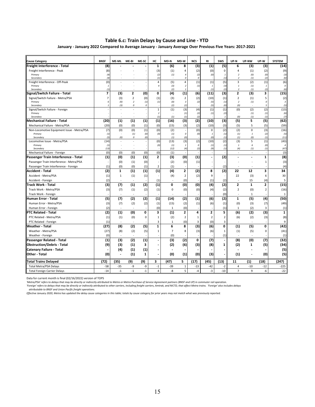#### **Table 6.c: Train Delays by Cause and Line ‐ YTD**

 **January ‐ January 2022 Compared to Average January ‐ January Average Over Previous Five Years: 2017‐2021** 

| <b>Cause Category</b>                      | <b>BNSF</b>              | <b>ME-ML</b>                    | ME-BI                      | ME-SC            | НC                       | MD-N           | MD-W                            | <b>NCS</b>           | <b>RI</b>                                                    | <b>SWS</b>               | UP-N                                       | UP-NW                    | UP-W          | <b>SYSTEM</b>                  |
|--------------------------------------------|--------------------------|---------------------------------|----------------------------|------------------|--------------------------|----------------|---------------------------------|----------------------|--------------------------------------------------------------|--------------------------|--------------------------------------------|--------------------------|---------------|--------------------------------|
| Freight Interference - Total               | (8)                      |                                 |                            |                  | 1                        | (6)            | 8                               | (3)                  | (1)                                                          | (5)                      | 6                                          | (3)                      | (3)           | (14)                           |
| Freight Interference - Peak                | (8)                      |                                 |                            |                  | (3)                      | (1)            | 4                               | (2)                  | (0)                                                          | 0                        | $\overline{4}$                             | (1)                      | (2)           | (9)                            |
| Primary<br>Secondary                       | (4)<br>(4)               |                                 |                            |                  | (2)<br>(1)               | (1)            | $\overline{4}$<br>$\mathcal{O}$ | (2)<br>$\mathcal{O}$ | (0)                                                          | $\mathbf{1}$<br>(1)      | $\overline{2}$<br>$\overline{\phantom{a}}$ | (0)<br>(1)               | (0)<br>(2)    | (3)<br>(6)                     |
| Freight Interference - Off-Peak            | (0)                      |                                 |                            |                  | 4                        | (5)            | 4                               | (1)                  | (1)                                                          | (5)                      | 3                                          | (2)                      | (1)           | (6)                            |
| Primary                                    | $\mathbf{1}$             |                                 |                            |                  | 4                        | (3)            | $\overline{2}$                  | (1)                  | $\mathbf{1}$                                                 | (3)                      | $\mathbf{1}$                               | (1)                      | $\mathbf{1}$  | $\cal O$                       |
| Secondary                                  | (1)                      |                                 |                            |                  |                          | (2)            |                                 |                      | (1)                                                          | (2)                      | $\overline{2}$                             | (1)                      | (2)           | (6)                            |
| Signal/Switch Failure - Total              | $\overline{\phantom{a}}$ | (3)                             | $\overline{2}$             | (0)              | 0                        | (4)            | (1)                             | (6)                  | (11)                                                         | (3)                      | $\overline{2}$                             | (3)                      | 3             | (15)                           |
| Signal/Switch Failure - Metra/PSA          | $\overline{7}$           | (3)                             | $\overline{2}$             | (0)              | (1)                      | (3)            | $\overline{2}$                  | (2)                  | (10)                                                         | (1)                      | $\overline{2}$                             | (1)                      | 5             | (2)                            |
| Primary<br>Secondary                       | 6<br>$\mathbf{1}$        | (0)<br>(3)                      | $\overline{2}$<br>$\Omega$ | (1)<br>0         | (1)                      | (0)<br>(2)     | $\overline{3}$<br>(2)           | (2)                  | (5)<br>(5)                                                   | (1)<br>(0)               | $\overline{2}$<br>(0)                      | (1)                      | $\Omega$<br>5 | $\overline{\mathbf{3}}$<br>(5) |
| Signal/Switch Failure - Foreign            |                          |                                 |                            |                  | $\mathbf{1}$             | (1)            | (3)                             | (4)                  | (1)                                                          | (1)                      | (0)                                        | (2)                      | (2)           | (13)                           |
| Primary                                    |                          |                                 |                            |                  | $\overline{z}$           |                | (1)                             | (2)                  | (1)                                                          | (2)                      |                                            | (1)                      | (1)           | (6)                            |
| Secondary                                  |                          |                                 |                            |                  | (1)                      | (1)            | (1)                             | (2)                  |                                                              | $\mathbf{1}$             | (0)                                        | (1)                      | (1)           | (7)                            |
| Mechanical Failure - Total                 | (20)                     | (1)                             | (1)                        | (1)              | (1)                      | (16)           | (3)                             | (2)                  | (10)                                                         | (3)                      | (5)                                        | 5                        | (5)           | (62)                           |
| Mechanical Failure - Metra/PSA             | (20)                     | (0)                             | (0)                        | (1)              | (0)                      | (15)           | (3)                             | (2)                  | (10)                                                         | (3)                      | (5)                                        | 5                        | (5)           | (59)                           |
| Non-Locomotive Equipment Issue - Metra/PSA | (7)                      | (0)                             | (0)                        | (1)              | (0)                      | (2)            |                                 | (0)                  | $\mathsf 0$                                                  | (2)                      | (2)                                        | 0                        | (3)           | (16)                           |
| Primary<br>Secondary                       | (1)<br>(5)               | $\overline{\phantom{a}}$<br>(0) | (1)<br>0                   | (0)<br>(0)       | (0)                      | (1)<br>(1)     | $\cal O$<br>(0)                 | (0)                  | $\mathbf{1}% _{T}=\mathbf{1}_{T}\times\mathbf{1}_{T}$<br>(0) | (1)<br>(1)               | (1)<br>(1)                                 | $\it 1$<br>(0)           | (2)<br>(1)    | (5)<br>(11)                    |
| Locomotive Issue - Metra/PSA               | (14)                     |                                 |                            |                  | (0)                      | (13)           | (3)                             | (2)                  | (10)                                                         | (2)                      | (3)                                        | 5                        | (1)           | (43)                           |
| Primary                                    | (1)                      |                                 |                            |                  | (0)                      | (1)            | $\overline{1}$                  | 0                    | (1)                                                          | (1)                      | $\mathbf{1}$                               | 6                        | (0,           | $\sqrt{4}$                     |
| Secondary                                  | (13)                     |                                 |                            |                  |                          | (12)           | (4)                             | (2)                  | (9)                                                          | (1)                      | (4)                                        | (1)                      | (1,           | (47)                           |
| Mechanical Failure - Foreign               | (0)                      | (0)                             | (0)                        | (0)              | (0)                      | (1)            |                                 |                      |                                                              |                          | ٠                                          | ÷.                       |               | (3)                            |
| Passenger Train Interference - Total       | (1)                      | (0)                             | (1)                        | (1)              | $\overline{2}$           | (3)            | (0)                             | (1)                  |                                                              | (2)                      | ٠                                          | $\overline{\phantom{a}}$ | $\mathbf{1}$  | (8)                            |
| Passenger Train Interference - Metra/PSA   |                          | (0)                             | (1)                        | (0)              |                          | (2)            | (0)                             | (1)                  |                                                              |                          |                                            |                          | 1             | (3)                            |
| Passenger Train Interference - Foreign     | (1)                      | (0)                             | (0)                        | (1)              | 2                        | (1)            |                                 |                      |                                                              | (2)                      |                                            |                          |               | (4)                            |
| <b>Accident - Total</b>                    | (2)                      | $\mathbf{1}$                    | (1)                        | (1)              | (1)                      | (4)            | $\mathbf{2}$                    | (2)                  | 8                                                            | (2)                      | 22                                         | 12                       | 3             | 34                             |
| Accident - Metra/PSA                       | (1)                      | $\mathbf{1}$                    | (1)                        | (1)              |                          | (4)            | $\overline{2}$                  | (2)                  | 9                                                            |                          | 22                                         | (3)                      | 6             | 30                             |
| Accident - Foreign                         | (2)                      |                                 |                            |                  | (1)                      | ä,             | (0)                             |                      | (1)                                                          | (2)                      | ÷.                                         | 15                       | (4)           | 5                              |
| <b>Track Work - Total</b>                  | (3)                      | (7)                             | (1)                        | (2)              | (1)                      | 0              | (0)                             | (0)                  | (4)                                                          | (2)                      | $\overline{2}$                             | $\mathbf 1$              | 2             | (15)                           |
| Track Work - Metra/PSA                     | (3)                      | (7)                             | (1)                        | (2)              | (1)                      | 0              | (0)                             | (0)                  | (4)                                                          | (2)                      | $\overline{2}$                             | (0)                      | $\mathbf 2$   | (16)                           |
| Track Work - Foreign                       |                          |                                 |                            |                  |                          |                |                                 |                      |                                                              | (0)                      |                                            | 1                        |               | $\mathbf{1}$                   |
| Human Error - Total                        | (5)                      | (7)                             | (2)                        | (2)              | (1)                      | (14)           | (2)                             | (1)                  | (6)                                                          | (2)                      | $\mathbf{1}$                               | (5)                      | (4)           | (50)                           |
| Human Error - Metra/PSA                    | (3)                      | (7)                             | (2)                        | (2)              | (1)                      | (15)           | (2)                             | (1)                  | (6)                                                          | (1)                      | (0)                                        | (3)                      | (7)           | (49)                           |
| Human Error - Foreign                      | (2)                      | ÷.                              | $\sim$                     |                  | (0)                      | $\mathbf{1}$   | (0)                             |                      |                                                              | (1)                      | $\mathbf 1$                                | (2)                      | 3             | (1)                            |
| <b>IPTC Related - Total</b>                | (2)                      | (1)                             | (0)                        | 0                | 3                        | (1)            | $\mathbf{2}$                    | 4                    | $\overline{2}$                                               | 5                        | (6)                                        | (2)                      | (3)           | $\mathbf{1}$                   |
| PTC Related - Metra/PSA                    | (1)                      | (1)                             | (0)                        | $\Omega$         | 1                        | (2)            | $\overline{2}$                  | $\mathbf{1}$         | $\overline{2}$                                               | $\overline{2}$           | (6)                                        | (2)                      | (3)           | (8)                            |
| PTC Related - Foreign                      | (1)                      |                                 |                            |                  | 3                        | 1              | (0)                             | 3                    | (0)                                                          | 3                        |                                            |                          |               | 9                              |
| <b>Weather - Total</b>                     | (27)                     | (8)                             | (2)                        | (5)              | $\mathbf{1}$             | 6              | 8                               | (3)                  | (6)                                                          | 0                        | (1)                                        | (5)                      | 0             | (42)                           |
| Weather - Metra/PSA                        | (27)                     | (8)                             | (2)                        | (5)              | $1\,$                    | $\overline{7}$ | 8                               | (3)                  | (6)                                                          | $\mathbf{1}$             | (1)                                        | (5)                      | 0             | (41)                           |
| Weather - Foreign                          | (0)                      | ٠                               | ٠                          |                  |                          | (0)            |                                 |                      |                                                              | (1)                      |                                            | $\overline{\phantom{a}}$ |               | (1)                            |
| Passenger Related - Total                  | (1)                      | (3)                             | (2)                        | $\overline{(1)}$ |                          | (3)            | (2)                             | 0                    | (7)                                                          | $\overline{\phantom{a}}$ | (8)                                        | (0)                      | (7)           | (32)                           |
| <b>Obstruction/Debris - Total</b>          | (9)                      | (3)                             | (1)                        | з                |                          | (2)            | (6)                             | (3)                  | (8)                                                          | 1                        | (2)                                        | 1                        | (5)           | (34)                           |
| <b>Catenary Failure - Total</b>            |                          | (4)                             | (1)                        | (1)              |                          |                |                                 |                      |                                                              |                          |                                            |                          |               | (5)                            |
| Other - Total                              | (0)                      | $\overline{\phantom{a}}$        | (1)                        | $\mathbf{1}$     | $\overline{\phantom{a}}$ | (0)            | (1)                             | (0)                  | (3)                                                          | $\blacksquare$           | (1)                                        | $\overline{a}$           | (0)           | (5)                            |
| <b>Total Trains Delayed</b>                | (72)                     | (35)                            | (9)                        | (9)              | 3                        | (47)           | 5.                              | (17)                 | (45)                                                         | (13)                     | 11                                         | (1)                      | (18)          | (247)                          |
| <b>Total Metra/PSA Delays</b>              | $-58$                    | $-35$                           | -9                         | -9               | $-1$                     | $-39$          | $\mathbf{1}$                    | $-13$                | $-42$                                                        | $-2$                     | 4                                          | $-10$                    | $-12$         | $-225$                         |
| <b>Total Foreign Carrier Delays</b>        | $-14$                    | $-1$                            | $-1$                       | $-1$             | $\overline{4}$           | -8             | 5                               | $-4$                 | $-3$                                                         | $-10$                    | $\overline{7}$                             | 9                        | -6            | $-22$                          |

Data for current month is final (02/16/2022) version of TOPS

*'Metra/PSA' refers to delays that may be directly or indirectly attributed to Metra or Metra Purchase of Service Agreement partners (BNSF and UP) in commuter rail operation.*

'Foreign' refers to delays that may be directly or indirectly attributed to other carriers, including freight carriers, Amtrak, and NICTD, that affect Metra trains. 'Foreign' also includes delays<br> attributable to BNSF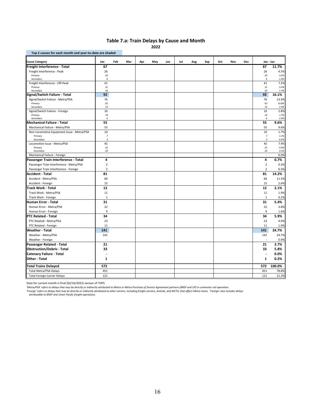#### **Table 7.a: Train Delays by Cause and Month**

**2022**

| <b>Cause Category</b>                                 | Jan                     | Feb | Mar | Apr | May | Jun | Jul | Aug | Sep | Oct | Nov | <b>Dec</b> |                         | Jan - Jan     |
|-------------------------------------------------------|-------------------------|-----|-----|-----|-----|-----|-----|-----|-----|-----|-----|------------|-------------------------|---------------|
| Freight Interference - Total                          | 67                      |     |     |     |     |     |     |     |     |     |     |            | 67                      | 11.7%         |
| Freight Interference - Peak                           | 26                      |     |     |     |     |     |     |     |     |     |     |            | 26                      | 4.5%          |
| Primary                                               | 20                      |     |     |     |     |     |     |     |     |     |     |            | 20                      | 3.5%          |
| Secondary                                             | 6                       |     |     |     |     |     |     |     |     |     |     |            | 6                       | 1.0%          |
| Freight Interference - Off-Peak                       | 41                      |     |     |     |     |     |     |     |     |     |     |            | 41                      | 7.2%          |
| Primary                                               | 31                      |     |     |     |     |     |     |     |     |     |     |            | 31                      | 5.4%          |
| Secondary<br>Signal/Switch Failure - Total            | 10<br>92                |     |     |     |     |     |     |     |     |     |     |            | 10<br>92                | 1.7%<br>16.1% |
| Signal/Switch Failure - Metra/PSA                     | 76                      |     |     |     |     |     |     |     |     |     |     |            | 76                      | 13.3%         |
| Primary                                               | 62                      |     |     |     |     |     |     |     |     |     |     |            | 62                      | 10.8%         |
| Secondary                                             | 14                      |     |     |     |     |     |     |     |     |     |     |            | 14                      | 2.4%          |
| Signal/Switch Failure - Foreign                       | 16                      |     |     |     |     |     |     |     |     |     |     |            | 16                      | 2.8%          |
| Primary                                               | 10                      |     |     |     |     |     |     |     |     |     |     |            | 10                      | 1.7%          |
| Secondary<br>Mechanical Failure - Total               | 6<br>55                 |     |     |     |     |     |     |     |     |     |     |            | 6<br>55                 | 1.0%<br>9.6%  |
|                                                       |                         |     |     |     |     |     |     |     |     |     |     |            |                         |               |
| Mechanical Failure - Metra/PSA                        | 55                      |     |     |     |     |     |     |     |     |     |     |            | 55                      | 9.6%          |
| Non-Locomotive Equipment Issue - Metra/PSA<br>Primary | 10<br>$\boldsymbol{7}$  |     |     |     |     |     |     |     |     |     |     |            | 10<br>$\overline{7}$    | 1.7%<br>1.2%  |
| Secondary                                             | $\overline{\mathbf{3}}$ |     |     |     |     |     |     |     |     |     |     |            | $\overline{\mathbf{3}}$ | 0.5%          |
| Locomotive Issue - Metra/PSA                          | 45                      |     |     |     |     |     |     |     |     |     |     |            | 45                      | 7.9%          |
| Primary                                               | 25                      |     |     |     |     |     |     |     |     |     |     |            | 25                      | 4.4%          |
| Secondary                                             | 20                      |     |     |     |     |     |     |     |     |     |     |            | 20                      | 3.5%          |
| Mechanical Failure - Foreign                          | ÷,                      |     |     |     |     |     |     |     |     |     |     |            | ×,                      | 0.0%          |
| Passenger Train Interference - Total                  | 4                       |     |     |     |     |     |     |     |     |     |     |            | 4                       | 0.7%          |
| Passenger Train Interference - Metra/PSA              | $\overline{2}$          |     |     |     |     |     |     |     |     |     |     |            | $\overline{2}$          | 0.3%          |
| Passenger Train Interference - Foreign                | $\overline{2}$          |     |     |     |     |     |     |     |     |     |     |            | $\overline{2}$          | 0.3%          |
| Accident - Total                                      | 81                      |     |     |     |     |     |     |     |     |     |     |            | 81                      | 14.2%         |
| Accident - Metra/PSA                                  | 66                      |     |     |     |     |     |     |     |     |     |     |            | 66                      | 11.5%         |
| Accident - Foreign                                    | 15                      |     |     |     |     |     |     |     |     |     |     |            | 15                      | 2.6%          |
| Track Work - Total                                    | 12                      |     |     |     |     |     |     |     |     |     |     |            | 12                      | 2.1%          |
| Track Work - Metra/PSA                                | 11                      |     |     |     |     |     |     |     |     |     |     |            | 11                      | 1.9%          |
| Track Work - Foreign                                  | $\mathbf{1}$            |     |     |     |     |     |     |     |     |     |     |            | $\mathbf{1}$            | 0.2%          |
| Human Error - Total                                   | 31                      |     |     |     |     |     |     |     |     |     |     |            | 31                      | 5.4%          |
| Human Error - Metra/PSA                               | 22                      |     |     |     |     |     |     |     |     |     |     |            | 22                      | 3.8%          |
| Human Error - Foreign                                 | 9                       |     |     |     |     |     |     |     |     |     |     |            | 9                       | 1.6%          |
| <b>PTC Related - Total</b>                            | 34                      |     |     |     |     |     |     |     |     |     |     |            | 34                      | 5.9%          |
| PTC Related - Metra/PSA                               | 23                      |     |     |     |     |     |     |     |     |     |     |            | 23                      | 4.0%          |
| PTC Related - Foreign                                 | 11                      |     |     |     |     |     |     |     |     |     |     |            | 11                      | 1.9%          |
| <b>Weather - Total</b>                                | 141                     |     |     |     |     |     |     |     |     |     |     |            | 141                     | 24.7%         |
| Weather - Metra/PSA                                   | 141                     |     |     |     |     |     |     |     |     |     |     |            | 141                     | 24.7%         |
| Weather - Foreign                                     |                         |     |     |     |     |     |     |     |     |     |     |            |                         | 0.0%          |
| Passenger Related - Total                             | 21                      |     |     |     |     |     |     |     |     |     |     |            | 21                      | 3.7%          |
| <b>Obstruction/Debris - Total</b>                     | 33                      |     |     |     |     |     |     |     |     |     |     |            | 33                      | 5.8%          |
| <b>Catenary Failure - Total</b>                       |                         |     |     |     |     |     |     |     |     |     |     |            | ٠                       | 0.0%          |
| Other - Total                                         | $\mathbf{1}$            |     |     |     |     |     |     |     |     |     |     |            | $\mathbf{1}$            | 0.2%          |
| Total Trains Delayed                                  | 572                     |     |     |     |     |     |     |     |     |     |     |            | 572                     | 100.0%        |
| Total Metra/PSA Delays                                | 451                     |     |     |     |     |     |     |     |     |     |     |            | 451                     | 78.8%         |
| <b>Total Foreign Carrier Delays</b>                   | 121                     |     |     |     |     |     |     |     |     |     |     |            | 121                     | 21.2%         |

Data for current month is final (02/16/2022) version of TOPS

*'Metra/PSA' refers to delays that may be directly or indirectly attributed to Metra or Metra Purchase of Service Agreement partners (BNSF and UP) in commuter rail operation.*

'Foreign' refers to delays that may be directly or indirectly attributed to other carriers, including freight carriers, Amtrak, and NICTD, that affect Metra trains. 'Foreign' also includes delays<br> attributable to BNSF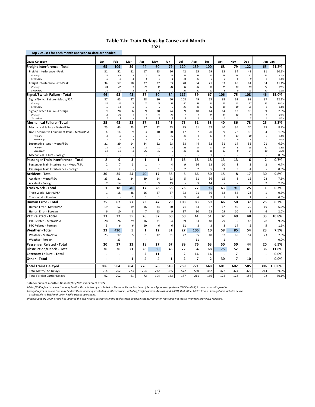#### **Table 7.b: Train Delays by Cause and Month**

**2021**

| Top 2 causes for each month and year-to-date are shaded |                            |                            |                      |                      |                       |                        |                      |                          |                      |                   |                          |                |                                         |              |
|---------------------------------------------------------|----------------------------|----------------------------|----------------------|----------------------|-----------------------|------------------------|----------------------|--------------------------|----------------------|-------------------|--------------------------|----------------|-----------------------------------------|--------------|
| <b>Cause Category</b>                                   | Jan                        | Feb                        | Mar                  | Apr                  | May                   | Jun                    | Jul                  | Aug                      | Sep                  | Oct               | Nov                      | Dec            | Jan - Jan                               |              |
| Freight Interference - Total                            | 65                         | 109                        | 39                   | 44                   | 60                    | 79                     | 120                  | 139                      | 100                  | 68                | 79                       | 122            | 65                                      | 21.2%        |
| Freight Interference - Peak                             | 31                         | 52                         | 21                   | 17                   | 23                    | 26                     | 42                   | 55                       | 29                   | 35                | 34                       | 41             | 31                                      | 10.1%        |
| Primary                                                 | 26                         | 43                         | 17                   | $16\,$               | 21                    | 22                     | 31                   | 38                       | 22                   | 28                | 28                       | 32             | 26                                      | 8.5%         |
| Secondary                                               | 5                          | 9                          | $\it 4$              | $\mathbf{1}$         | $\overline{2}$        | $\it 4$                | 11                   | 17                       | $\overline{7}$       | $\overline{z}$    | 6                        | 9              | 5                                       | 1.6%         |
| Freight Interference - Off-Peak                         | 34                         | 57                         | 18                   | 27                   | 37                    | 53                     | 78                   | 84                       | 71                   | 33                | 45                       | 81             | 34                                      | 11.1%        |
| Primary<br>Secondary                                    | 24<br>10                   | 47<br>10                   | 16<br>$\overline{2}$ | 26<br>$\overline{1}$ | 32<br>5               | $44\,$<br>$\mathbf{Q}$ | 54<br>24             | 64<br>20                 | 61<br>10             | 28<br>5           | 36<br>9                  | 58<br>23       | 24<br>10                                | 7.8%<br>3.3% |
| Signal/Switch Failure - Total                           | 46                         | 93                         | 43                   | 37                   | 50                    | 84                     | 117                  | 59                       | 67                   | 106               | 75                       | 108            | 46                                      | 15.0%        |
| Signal/Switch Failure - Metra/PSA                       | 37                         | 65                         | 37                   | 28                   | 30                    | 60                     | 108                  | 49                       | 53                   | 92                | 62                       | 98             | 37                                      | 12.1%        |
| Primary                                                 | 32                         | 51                         | 29                   | 26                   | 27                    | 51                     | 80                   | 39                       | 41                   | 73                | 43                       | 77             | 32                                      | 10.5%        |
| Secondary                                               | 5                          | 14                         | 8                    | $\overline{2}$       | 3                     | 9                      | 28                   | 10                       | 12                   | 19                | 19                       | 21             | 5                                       | 1.6%         |
| Signal/Switch Failure - Foreign                         | 9                          | 28                         | 6                    | 9                    | 20                    | 24                     | 9                    | 10                       | 14                   | 14                | 13                       | 10             | 9                                       | 2.9%         |
| Primary                                                 | 8                          | 25                         | 6                    | $\overline{7}$       | 18                    | 23                     | 8                    | 9                        | 10                   | 13                | 12                       | 8              | 8                                       | 2.6%         |
| Secondary                                               | $\mathbf{I}$               | $\boldsymbol{\mathcal{Z}}$ |                      | $\overline{2}$       | $\overline{2}$        | $\mathbf{1}$           | $\mathbf{1}$         | $\mathbf{1}$             | $\overline{a}$       | $\mathbf{1}$      | $\mathbf{1}$             | $\overline{2}$ | $\mathbf{1}$                            | 0.3%         |
| Mechanical Failure - Total                              | 25                         | 43                         | 23                   | 37                   | 32                    | 43                     | 75                   | 51                       | 53                   | 40                | 36                       | 73             | 25                                      | 8.2%         |
| Mechanical Failure - Metra/PSA                          | 25                         | 43                         | 23                   | 37                   | 32                    | 43                     | 75                   | 51                       | 52                   | 40                | 36                       | 70             | 25                                      | 8.2%         |
| Non-Locomotive Equipment Issue - Metra/PSA              | $\overline{4}$             | 14                         | 9                    | $\overline{3}$       | 10                    | 20                     | 17                   | $\overline{7}$           | 20                   | 9                 | 22                       | 18             | $\overline{a}$                          | 1.3%         |
| Primary<br>Secondary                                    | $\sqrt{3}$<br>$\mathbf{I}$ | 8<br>6                     | 6<br>3               | $\sqrt{3}$           | $\boldsymbol{7}$<br>3 | 13<br>$\overline{7}$   | 10<br>$\overline{z}$ | 6<br>$\mathbf{1}$        | 13<br>$\overline{z}$ | 8<br>$\mathbf{1}$ | 13<br>9                  | 10<br>8        | $\overline{\mathbf{3}}$<br>$\mathbf{1}$ | 1.0%<br>0.3% |
| Locomotive Issue - Metra/PSA                            | 21                         | 29                         | 14                   | 34                   | 22                    | 23                     | 58                   | 44                       | 32                   | 31                | 14                       | 52             | 21                                      | 6.9%         |
| Primary                                                 | 11                         | 19                         | 11                   | 14                   | 10                    | 14                     | 28                   | 14                       | 17                   | 14                | 6                        | 18             | $11\,$                                  | 3.6%         |
| Secondary                                               | 10                         | 10                         | 3                    | 20                   | 12                    | $\boldsymbol{g}$       | 30                   | 30                       | 15                   | 17                | 8                        | 34             | 10                                      | 3.3%         |
| Mechanical Failure - Foreign                            | ÷.                         | ÷.                         | ÷,                   | ÷.                   | $\omega$              | $\sim$                 | ä,                   | $\overline{\phantom{a}}$ | $\mathbf{1}$         | ÷.                | ÷.                       | 3              | ÷.                                      | 0.0%         |
| Passenger Train Interference - Total                    | $\overline{2}$             | 9                          | 3                    | $\mathbf{1}$         | $\mathbf{1}$          | 5                      | 16                   | 18                       | 18                   | 13                | 13                       | 6              | $\overline{2}$                          | 0.7%         |
| Passenger Train Interference - Metra/PSA                | $\overline{2}$             | $\overline{7}$             | 3                    | $\mathbf{1}$         | ł,                    | $\overline{4}$         | 9                    | 16                       | 13                   | 10                | 8                        | $\overline{2}$ | $\overline{2}$                          | 0.7%         |
| Passenger Train Interference - Foreign                  |                            | $\overline{2}$             |                      |                      | $\mathbf 1$           | 1                      | $\overline{7}$       | $\overline{2}$           | 5                    | 3                 | 5                        | 4              |                                         | 0.0%         |
| Accident - Total                                        | 30                         | 35                         | 24                   | 40                   | 17                    | 36                     | 5                    | 66                       | 50                   | 15                | 8                        | 17             | 30                                      | 9.8%         |
| Accident - Metra/PSA                                    | 23                         | 21                         | 24                   | 39                   | 14                    | 23                     | 5                    | 61                       | 36                   | 15                | 8                        | 15             | 23                                      | 7.5%         |
| Accident - Foreign                                      | $\overline{7}$             | 14                         |                      | $\mathbf{1}$         | 3                     | 13                     | ÷,                   | 5                        | 14                   | ٠                 |                          | $\overline{2}$ | $\overline{7}$                          | 2.3%         |
| Track Work - Total                                      | $\mathbf{1}$               | 18                         | 40                   | 17                   | 28                    | 38                     | 76                   | 77                       | 93                   | 63                | 91                       | 25             | $\mathbf{1}$                            | 0.3%         |
| Track Work - Metra/PSA                                  | $\mathbf{1}$               | 18                         | 38                   | 16                   | 27                    | 37                     | 73                   | 71                       | 86                   | 62                | 84                       | 23             | $1\,$                                   |              |
|                                                         |                            |                            | $\overline{2}$       | $\mathbf{1}$         | $\mathbf{1}$          | $\mathbf{1}$           | $\overline{3}$       | 6                        | $\overline{7}$       | $\mathbf{1}$      | $\overline{7}$           | $\overline{2}$ | J.                                      | 0.3%         |
| Track Work - Foreign                                    |                            |                            |                      |                      |                       |                        |                      |                          |                      |                   |                          |                |                                         | 0.0%         |
| Human Error - Total                                     | 25                         | 62                         | 27                   | 23                   | 47                    | 29                     | 108                  | 83                       | 59                   | 46                | 50                       | 37             | 25                                      | 8.2%         |
| Human Error - Metra/PSA                                 | 19                         | 52                         | 19                   | 16                   | 34                    | 20                     | 71                   | 53                       | 37                   | 17                | 40                       | 29             | 19                                      | 6.2%         |
| Human Error - Foreign                                   | 6                          | 10                         | 8                    | $\overline{7}$       | 13                    | 9                      | 37                   | 30                       | 22                   | 29                | 10                       | 8              | 6                                       | 2.0%         |
| PTC Related - Total                                     | 33                         | 32                         | 35                   | 26                   | 37                    | 60                     | 50                   | 41                       | 51                   | 37                | 49                       | 48             | 33                                      | 10.8%        |
| PTC Related - Metra/PSA                                 | 28                         | 26                         | 29                   | 16                   | 31                    | 54                     | 39                   | 33                       | 48                   | 29                | 35                       | 43             | 28                                      | 9.2%         |
| PTC Related - Foreign                                   | 5                          | 6                          | 6                    | 10                   | 6                     | 6                      | 11                   | 8                        | 3                    | 8                 | 14                       | 5              | 5                                       | 1.6%         |
| <b>Weather - Total</b>                                  | 23                         | 430                        | 5                    | $\mathbf{1}$         | 12                    | 31                     | 27                   | 106                      | 10                   | 58                | 85                       | 54             | 23                                      | 7.5%         |
| Weather - Metra/PSA                                     | 23                         | 397                        | 5                    | $\mathbf{1}$         | 12                    | 31                     | 27                   | 95                       | 10                   | 57                | 85                       | 54             | 23                                      | 7.5%         |
| Weather - Foreign                                       |                            | 33                         |                      | J.                   | J.                    |                        |                      | 11                       |                      | $\mathbf{1}$      |                          |                |                                         | 0.0%         |
| Passenger Related - Total                               | 20                         | 37                         | 23                   | 18                   | 27                    | 67                     | 89                   | 76                       | 63                   | 50                | 50                       | 44             | 20                                      | 6.5%         |
| <b>Obstruction/Debris - Total</b>                       | 36                         | 36                         | 21                   | 26                   | 50                    | 45                     | 72                   | 34                       | 68                   | 75                | 52                       | 41             | 36                                      | 11.8%        |
| <b>Catenary Failure - Total</b>                         |                            |                            |                      | $\mathbf{2}$         | 11                    |                        | $\overline{2}$       | 14                       | 14                   |                   | $\overline{\phantom{a}}$ |                |                                         | 0.0%         |
| Other - Total                                           |                            |                            | $\mathbf{1}$         | 4                    | 4                     | $\mathbf{1}$           | $\overline{2}$       | $\overline{7}$           | $\overline{2}$       | 30                | $\overline{7}$           | 10             |                                         | 0.0%         |
| Total Trains Delayed                                    | 306                        | 904                        | 284                  | 276                  | 376                   | 518                    | 759                  | 771                      | 648                  | 601               | 602                      | 585            | 306                                     | 100.0%       |
| <b>Total Metra/PSA Delays</b>                           | 214                        | 702                        | 223                  | 204                  | 272                   | 385                    | 572                  | 560                      | 482                  | 477               | 474                      | 429            | 214                                     | 69.9%        |
| <b>Total Foreign Carrier Delays</b>                     | 92                         | 202                        | 61                   | 72                   | 104                   | 133                    | 187                  | 211                      | 166                  | 124               | 128                      | 156            | 92                                      | 30.1%        |

Data for current month is final (02/16/2021) version of TOPS

*'Metra/PSA' refers to delays that may be directly or indirectly attributed to Metra or Metra Purchase of Service Agreement partners (BNSF and UP) in commuter rail operation.*

'Foreign' refers to delays that may be directly or indirectly attributed to other carriers, including freight carriers, Amtrak, and NICTD, that affect Metra trains. 'Foreign' also includes delays<br> attributable to BNSF